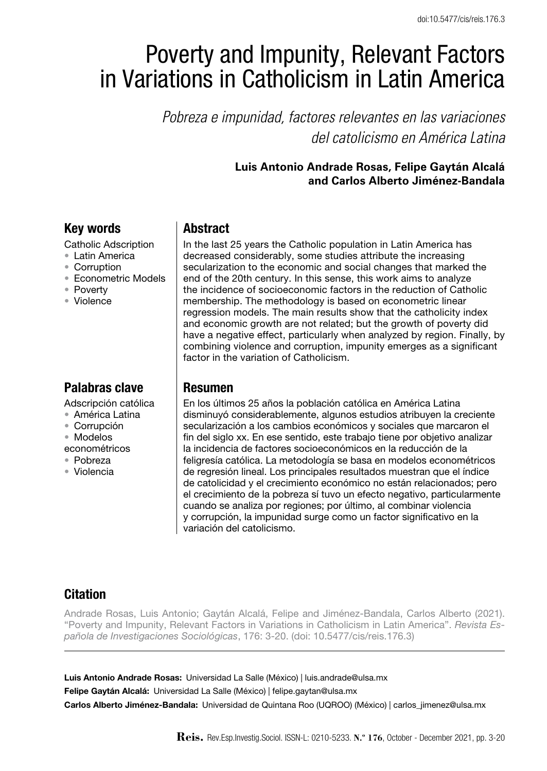# Poverty and Impunity, Relevant Factors in Variations in Catholicism in Latin America

*Pobreza e impunidad, factores relevantes en las variaciones del catolicismo en América Latina*

## **Luis Antonio Andrade Rosas, Felipe Gaytán Alcalá and Carlos Alberto Jiménez-Bandala**

# Key words

Catholic Adscription

- • Latin America
- • Corruption
- • Econometric Models
- • Poverty
- • Violence

# Palabras clave

Adscripción católica

- • América Latina
- • Corrupción
- • Modelos
- econométricos
- • Pobreza
- • Violencia

# **Abstract**

In the last 25 years the Catholic population in Latin America has decreased considerably, some studies attribute the increasing secularization to the economic and social changes that marked the end of the 20th century. In this sense, this work aims to analyze the incidence of socioeconomic factors in the reduction of Catholic membership. The methodology is based on econometric linear regression models. The main results show that the catholicity index and economic growth are not related; but the growth of poverty did have a negative effect, particularly when analyzed by region. Finally, by combining violence and corruption, impunity emerges as a significant factor in the variation of Catholicism.

## Resumen

En los últimos 25 años la población católica en América Latina disminuyó considerablemente, algunos estudios atribuyen la creciente secularización a los cambios económicos y sociales que marcaron el fin del siglo xx. En ese sentido, este trabajo tiene por objetivo analizar la incidencia de factores socioeconómicos en la reducción de la feligresía católica. La metodología se basa en modelos econométricos de regresión lineal. Los principales resultados muestran que el índice de catolicidad y el crecimiento económico no están relacionados; pero el crecimiento de la pobreza sí tuvo un efecto negativo, particularmente cuando se analiza por regiones; por último, al combinar violencia y corrupción, la impunidad surge como un factor significativo en la variación del catolicismo.

# Citation

Andrade Rosas, Luis Antonio; Gaytán Alcalá, Felipe and Jiménez-Bandala, Carlos Alberto (2021). "Poverty and Impunity, Relevant Factors in Variations in Catholicism in Latin America". *Revista Española de Investigaciones Sociológicas*, 176: 3-20. (doi: 10.5477/cis/reis.176.3)

Luis Antonio Andrade Rosas: Universidad La Salle (México) | luis.andrade@ulsa.mx

Felipe Gaytán Alcalá: Universidad La Salle (México) | felipe.gaytan@ulsa.mx

Carlos Alberto Jiménez-Bandala: Universidad de Quintana Roo (UQROO) (México) | carlos\_jimenez@ulsa.mx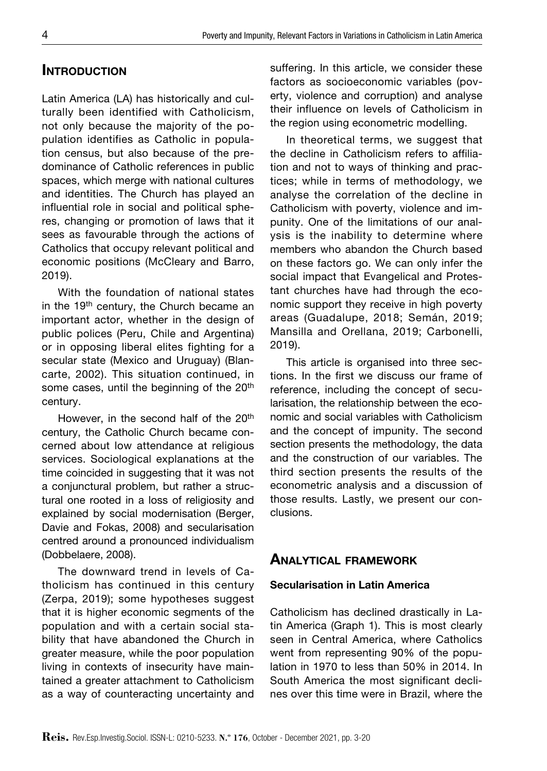## **INTRODUCTION**

Latin America (LA) has historically and culturally been identified with Catholicism, not only because the majority of the population identifies as Catholic in population census, but also because of the predominance of Catholic references in public spaces, which merge with national cultures and identities. The Church has played an influential role in social and political spheres, changing or promotion of laws that it sees as favourable through the actions of Catholics that occupy relevant political and economic positions (McCleary and Barro, 2019).

With the foundation of national states in the 19<sup>th</sup> century, the Church became an important actor, whether in the design of public polices (Peru, Chile and Argentina) or in opposing liberal elites fighting for a secular state (Mexico and Uruguay) (Blancarte, 2002). This situation continued, in some cases, until the beginning of the 20<sup>th</sup> century.

However, in the second half of the 20<sup>th</sup> century, the Catholic Church became concerned about low attendance at religious services. Sociological explanations at the time coincided in suggesting that it was not a conjunctural problem, but rather a structural one rooted in a loss of religiosity and explained by social modernisation (Berger, Davie and Fokas, 2008) and secularisation centred around a pronounced individualism (Dobbelaere, 2008).

The downward trend in levels of Catholicism has continued in this century (Zerpa, 2019); some hypotheses suggest that it is higher economic segments of the population and with a certain social stability that have abandoned the Church in greater measure, while the poor population living in contexts of insecurity have maintained a greater attachment to Catholicism as a way of counteracting uncertainty and suffering. In this article, we consider these factors as socioeconomic variables (poverty, violence and corruption) and analyse their influence on levels of Catholicism in the region using econometric modelling.

In theoretical terms, we suggest that the decline in Catholicism refers to affiliation and not to ways of thinking and practices; while in terms of methodology, we analyse the correlation of the decline in Catholicism with poverty, violence and impunity. One of the limitations of our analysis is the inability to determine where members who abandon the Church based on these factors go. We can only infer the social impact that Evangelical and Protestant churches have had through the economic support they receive in high poverty areas (Guadalupe, 2018; Semán, 2019; Mansilla and Orellana, 2019; Carbonelli, 2019).

This article is organised into three sections. In the first we discuss our frame of reference, including the concept of secularisation, the relationship between the economic and social variables with Catholicism and the concept of impunity. The second section presents the methodology, the data and the construction of our variables. The third section presents the results of the econometric analysis and a discussion of those results. Lastly, we present our conclusions.

## Analytical framework

#### Secularisation in Latin America

Catholicism has declined drastically in Latin America (Graph 1). This is most clearly seen in Central America, where Catholics went from representing 90% of the population in 1970 to less than 50% in 2014. In South America the most significant declines over this time were in Brazil, where the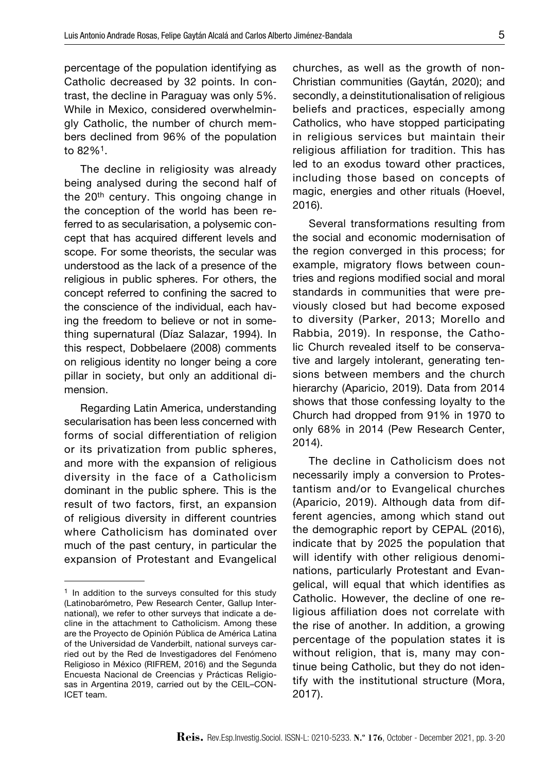percentage of the population identifying as Catholic decreased by 32 points. In contrast, the decline in Paraguay was only 5%. While in Mexico, considered overwhelmingly Catholic, the number of church members declined from 96% of the population to 82%1.

The decline in religiosity was already being analysed during the second half of the 20<sup>th</sup> century. This ongoing change in the conception of the world has been referred to as secularisation, a polysemic concept that has acquired different levels and scope. For some theorists, the secular was understood as the lack of a presence of the religious in public spheres. For others, the concept referred to confining the sacred to the conscience of the individual, each having the freedom to believe or not in something supernatural (Díaz Salazar, 1994). In this respect, Dobbelaere (2008) comments on religious identity no longer being a core pillar in society, but only an additional dimension.

Regarding Latin America, understanding secularisation has been less concerned with forms of social differentiation of religion or its privatization from public spheres, and more with the expansion of religious diversity in the face of a Catholicism dominant in the public sphere. This is the result of two factors, first, an expansion of religious diversity in different countries where Catholicism has dominated over much of the past century, in particular the expansion of Protestant and Evangelical

churches, as well as the growth of non-Christian communities (Gaytán, 2020); and secondly, a deinstitutionalisation of religious beliefs and practices, especially among Catholics, who have stopped participating in religious services but maintain their religious affiliation for tradition. This has led to an exodus toward other practices, including those based on concepts of magic, energies and other rituals (Hoevel, 2016).

Several transformations resulting from the social and economic modernisation of the region converged in this process; for example, migratory flows between countries and regions modified social and moral standards in communities that were previously closed but had become exposed to diversity (Parker, 2013; Morello and Rabbia, 2019). In response, the Catholic Church revealed itself to be conservative and largely intolerant, generating tensions between members and the church hierarchy (Aparicio, 2019). Data from 2014 shows that those confessing loyalty to the Church had dropped from 91% in 1970 to only 68% in 2014 (Pew Research Center, 2014).

The decline in Catholicism does not necessarily imply a conversion to Protestantism and/or to Evangelical churches (Aparicio, 2019). Although data from different agencies, among which stand out the demographic report by CEPAL (2016), indicate that by 2025 the population that will identify with other religious denominations, particularly Protestant and Evangelical, will equal that which identifies as Catholic. However, the decline of one religious affiliation does not correlate with the rise of another. In addition, a growing percentage of the population states it is without religion, that is, many may continue being Catholic, but they do not identify with the institutional structure (Mora, 2017).

<sup>&</sup>lt;sup>1</sup> In addition to the surveys consulted for this study (Latinobarómetro, Pew Research Center, Gallup International), we refer to other surveys that indicate a decline in the attachment to Catholicism. Among these are the Proyecto de Opinión Pública de América Latina of the Universidad de Vanderbilt, national surveys carried out by the Red de Investigadores del Fenómeno Religioso in México (RIFREM, 2016) and the Segunda Encuesta Nacional de Creencias y Prácticas Religiosas in Argentina 2019, carried out by the CEIL–CON-ICET team.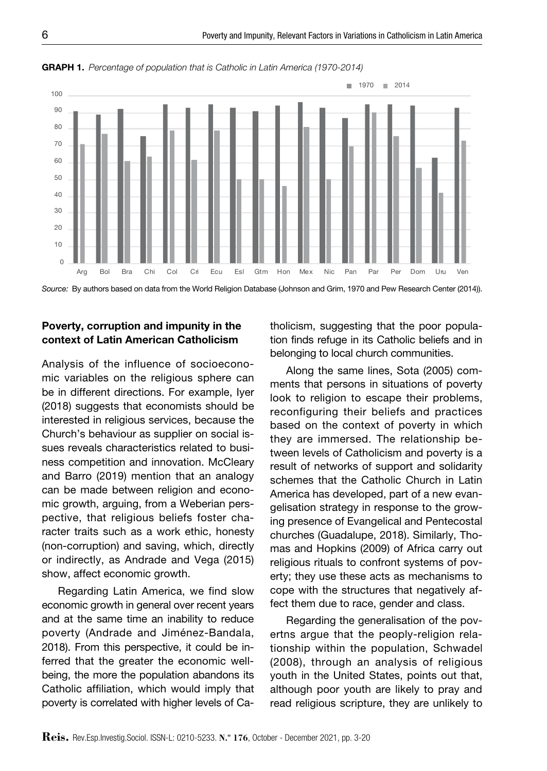

GRAPH 1. Percentage of population that is Catholic in Latin America (1970-2014)

*Source:* By authors based on data from the World Religion Database (Johnson and Grim, 1970 and Pew Research Center (2014)).

## Poverty, corruption and impunity in the context of Latin American Catholicism

Analysis of the influence of socioeconomic variables on the religious sphere can be in different directions. For example, Iyer (2018) suggests that economists should be interested in religious services, because the Church's behaviour as supplier on social issues reveals characteristics related to business competition and innovation. McCleary and Barro (2019) mention that an analogy can be made between religion and economic growth, arguing, from a Weberian perspective, that religious beliefs foster character traits such as a work ethic, honesty (non-corruption) and saving, which, directly or indirectly, as Andrade and Vega (2015) show, affect economic growth.

Regarding Latin America, we find slow economic growth in general over recent years and at the same time an inability to reduce poverty (Andrade and Jiménez-Bandala, 2018). From this perspective, it could be inferred that the greater the economic wellbeing, the more the population abandons its Catholic affiliation, which would imply that poverty is correlated with higher levels of Catholicism, suggesting that the poor population finds refuge in its Catholic beliefs and in belonging to local church communities.

Along the same lines, Sota (2005) comments that persons in situations of poverty look to religion to escape their problems, reconfiguring their beliefs and practices based on the context of poverty in which they are immersed. The relationship between levels of Catholicism and poverty is a result of networks of support and solidarity schemes that the Catholic Church in Latin America has developed, part of a new evangelisation strategy in response to the growing presence of Evangelical and Pentecostal churches (Guadalupe, 2018). Similarly, Thomas and Hopkins (2009) of Africa carry out religious rituals to confront systems of poverty; they use these acts as mechanisms to cope with the structures that negatively affect them due to race, gender and class.

Regarding the generalisation of the povertns argue that the peoply-religion relationship within the population, Schwadel (2008), through an analysis of religious youth in the United States, points out that, although poor youth are likely to pray and read religious scripture, they are unlikely to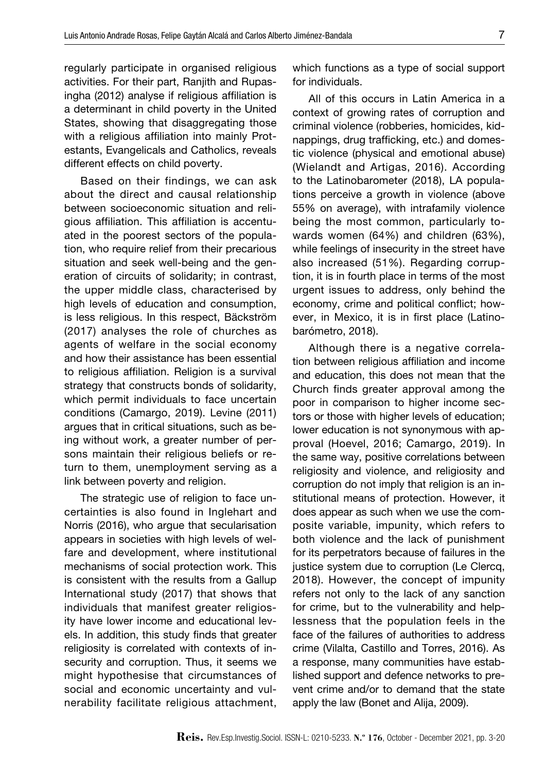regularly participate in organised religious activities. For their part, Ranjith and Rupasingha (2012) analyse if religious affiliation is a determinant in child poverty in the United States, showing that disaggregating those with a religious affiliation into mainly Protestants, Evangelicals and Catholics, reveals different effects on child poverty.

Based on their findings, we can ask about the direct and causal relationship between socioeconomic situation and religious affiliation. This affiliation is accentuated in the poorest sectors of the population, who require relief from their precarious situation and seek well-being and the generation of circuits of solidarity; in contrast, the upper middle class, characterised by high levels of education and consumption, is less religious. In this respect, Bäckström (2017) analyses the role of churches as agents of welfare in the social economy and how their assistance has been essential to religious affiliation. Religion is a survival strategy that constructs bonds of solidarity, which permit individuals to face uncertain conditions (Camargo, 2019). Levine (2011) argues that in critical situations, such as being without work, a greater number of persons maintain their religious beliefs or return to them, unemployment serving as a link between poverty and religion.

The strategic use of religion to face uncertainties is also found in Inglehart and Norris (2016), who argue that secularisation appears in societies with high levels of welfare and development, where institutional mechanisms of social protection work. This is consistent with the results from a Gallup International study (2017) that shows that individuals that manifest greater religiosity have lower income and educational levels. In addition, this study finds that greater religiosity is correlated with contexts of insecurity and corruption. Thus, it seems we might hypothesise that circumstances of social and economic uncertainty and vulnerability facilitate religious attachment,

which functions as a type of social support for individuals.

All of this occurs in Latin America in a context of growing rates of corruption and criminal violence (robberies, homicides, kidnappings, drug trafficking, etc.) and domestic violence (physical and emotional abuse) (Wielandt and Artigas, 2016). According to the Latinobarometer (2018), LA populations perceive a growth in violence (above 55% on average), with intrafamily violence being the most common, particularly towards women (64%) and children (63%), while feelings of insecurity in the street have also increased (51%). Regarding corruption, it is in fourth place in terms of the most urgent issues to address, only behind the economy, crime and political conflict; however, in Mexico, it is in first place (Latinobarómetro, 2018).

Although there is a negative correlation between religious affiliation and income and education, this does not mean that the Church finds greater approval among the poor in comparison to higher income sectors or those with higher levels of education; lower education is not synonymous with approval (Hoevel, 2016; Camargo, 2019). In the same way, positive correlations between religiosity and violence, and religiosity and corruption do not imply that religion is an institutional means of protection. However, it does appear as such when we use the composite variable, impunity, which refers to both violence and the lack of punishment for its perpetrators because of failures in the justice system due to corruption (Le Clercq, 2018). However, the concept of impunity refers not only to the lack of any sanction for crime, but to the vulnerability and helplessness that the population feels in the face of the failures of authorities to address crime (Vilalta, Castillo and Torres, 2016). As a response, many communities have established support and defence networks to prevent crime and/or to demand that the state apply the law (Bonet and Alija, 2009).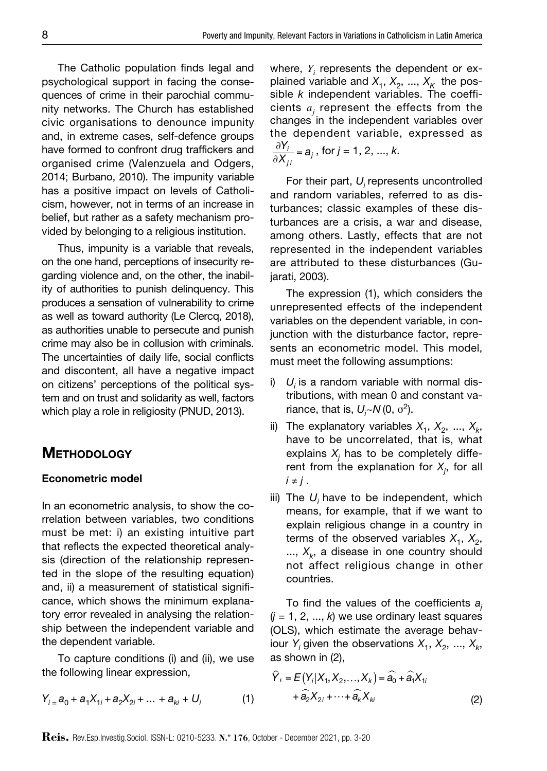The Catholic population finds legal and psychological support in facing the consequences of crime in their parochial community networks. The Church has established civic organisations to denounce impunity and, in extreme cases, self-defence groups have formed to confront drug traffickers and organised crime (Valenzuela and Odgers, 2014; Burbano, 2010). The impunity variable has a positive impact on levels of Catholicism, however, not in terms of an increase in belief, but rather as a safety mechanism provided by belonging to a religious institution.

Thus, impunity is a variable that reveals, on the one hand, perceptions of insecurity regarding violence and, on the other, the inability of authorities to punish delinquency. This produces a sensation of vulnerability to crime as well as toward authority (Le Clercq, 2018), as authorities unable to persecute and punish crime may also be in collusion with criminals. The uncertainties of daily life, social conflicts and discontent, all have a negative impact on citizens' perceptions of the political system and on trust and solidarity as well, factors which play a role in religiosity (PNUD, 2013).

## **METHODOLOGY**

#### Econometric model

In an econometric analysis, to show the correlation between variables, two conditions must be met: i) an existing intuitive part that reflects the expected theoretical analysis (direction of the relationship represented in the slope of the resulting equation) and, ii) a measurement of statistical significance, which shows the minimum explanatory error revealed in analysing the relationship between the independent variable and the dependent variable.

To capture conditions (i) and (ii), we use the following linear expression,

$$
Y_{i} = a_{0} + a_{1}X_{1i} + a_{2}X_{2i} + \dots + a_{ki} + U_{i}
$$
 (1)

where,  $Y_i$  represents the dependent or explained variable and  $X_1, X_2, ..., X_k$  the possible *k* independent variables. The coefficients  $a_j$  represent the effects from the changes in the independent variables over the dependent variable, expressed as !*Yi*  $\frac{\partial I_i}{\partial X_{ji}} = a_j$ , for *j* = 1, 2, ..., *k*.

For their part, *Ui* represents uncontrolled and random variables, referred to as disturbances; classic examples of these disturbances are a crisis, a war and disease, among others. Lastly, effects that are not represented in the independent variables are attributed to these disturbances (Gujarati, 2003).

The expression (1), which considers the unrepresented effects of the independent variables on the dependent variable, in conjunction with the disturbance factor, represents an econometric model. This model, must meet the following assumptions:

- i)  $U_i$  is a random variable with normal distributions, with mean 0 and constant va $r$ iance, that is,  $U_i$ ~ $N$  (0,  $\sigma^2$ ).
- ii) The explanatory variables  $X_1, X_2, ..., X_k$ , have to be uncorrelated, that is, what explains  $X_j$  has to be completely different from the explanation for  $X_j$ , for all  $i \neq j$ .
- iii) The  $U_i$  have to be independent, which means, for example, that if we want to explain religious change in a country in terms of the observed variables  $X_1$ ,  $X_2$ ,  $..., X_k$ , a disease in one country should not affect religious change in other countries.

To find the values of the coefficients *aj*  $(j = 1, 2, ..., k)$  we use ordinary least squares (OLS), which estimate the average behaviour *Y<sub>i</sub>* given the observations  $X_1, X_2, ..., X_k$ as shown in (2),

$$
\hat{Y}_i = E(Y_i|X_1, X_2, \dots, X_k) = \hat{a}_0 + \hat{a}_1 X_1
$$
  
+ 
$$
\hat{a}_2 X_{2i} + \dots + \hat{a}_k X_{ki}
$$
 (2)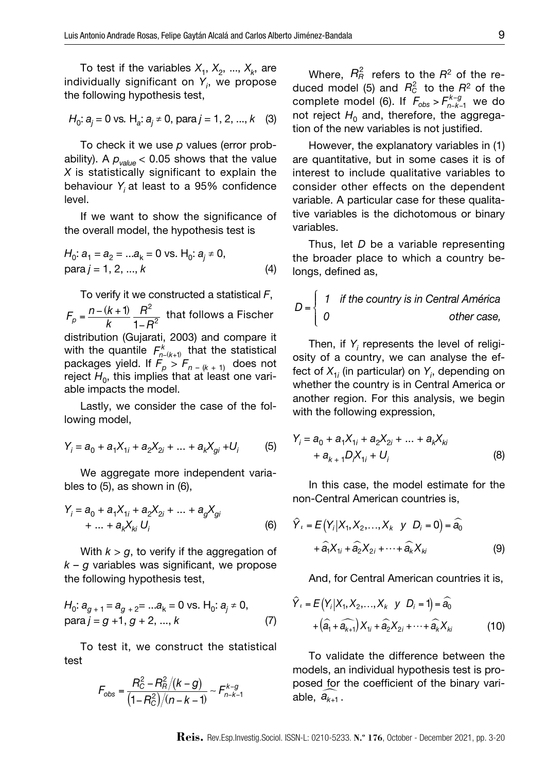To test if the variables  $X_1, X_2, ..., X_k$ , are individually significant on *Yi* , we propose the following hypothesis test,

$$
H_0: a_j = 0
$$
 vs.  $H_a: a_j \neq 0$ , para  $j = 1, 2, ..., k$  (3)

To check it we use *p* values (error probability). A  $p_{value}$  < 0.05 shows that the value *X* is statistically significant to explain the behaviour *Yi* at least to a 95% confidence level.

If we want to show the significance of the overall model, the hypothesis test is

$$
H_0: a_1 = a_2 = ...a_k = 0 \text{ vs. } H_0: a_j \neq 0,
$$
  
para  $j = 1, 2, ..., k$  (4)

To verify it we constructed a statistical *F*,  $F_p = \frac{n - (k + 1)}{k}$  $\frac{R^2}{1-R^2}$  that follows a Fischer distribution (Gujarati, 2003) and compare it with the quantile  $F_{n-(k+1)}^{k}$  that the statistical packages yield. If  $\ddot{F_p} > F_{n-(k+1)}$  does not reject  $H_0$ , this implies that at least one variable impacts the model.

Lastly, we consider the case of the following model,

$$
Y_i = a_0 + a_1 X_{1i} + a_2 X_{2i} + \dots + a_k X_{gi} + U_i \tag{5}
$$

We aggregate more independent variables to (5), as shown in (6),

$$
Y_{i} = a_{0} + a_{1}X_{1i} + a_{2}X_{2i} + ... + a_{g}X_{gi}
$$
  
+ ... + a\_{k}X\_{ki} U\_{i} \t\t(6)

With  $k > g$ , to verify if the aggregation of *k* – *g* variables was significant, we propose the following hypothesis test,

$$
H_0: a_{g+1} = a_{g+2} = ...a_k = 0 \text{ vs. } H_0: a_j \neq 0, \qquad Y_i = \text{para } j = g+1, g+2, ..., k \qquad (7)
$$

To test it, we construct the statistical test

$$
F_{\rm obs} = \frac{R_{\rm C}^2 - R_{\rm R}^2/(k - g)}{(1 - R_{\rm C}^2)/(n - k - 1)} \sim F_{n - k - 1}^{k - g}
$$

Where,  $R_R^2$  refers to the  $R^2$  of the reduced model (5) and  $R_c^2$  to the  $R^2$  of the complete model (6). If  $F_{obs} > F_{n-k-1}^{k-g}$  we do not reject  $H_0$  and, therefore, the aggregation of the new variables is not justified.

However, the explanatory variables in (1) are quantitative, but in some cases it is of interest to include qualitative variables to consider other effects on the dependent variable. A particular case for these qualitative variables is the dichotomous or binary variables.

Thus, let *D* be a variable representing the broader place to which a country belongs, defined as,

$$
D = \begin{cases} 1 & \text{if the country is in Central América} \\ 0 & \text{other case,} \end{cases}
$$

Then, if  $Y_i$  represents the level of religiosity of a country, we can analyse the effect of *X*1*<sup>i</sup>* (in particular) on *Yi* , depending on whether the country is in Central America or another region. For this analysis, we begin with the following expression,

$$
Y_i = a_0 + a_1 X_{1i} + a_2 X_{2i} + \dots + a_k X_{ki}
$$
  
+  $a_{k+1} D_i X_{1i} + U_i$  (8)

In this case, the model estimate for the non-Central American countries is,

$$
\hat{Y}_i = E(Y_i|X_1, X_2, \dots, X_k \quad y \quad D_i = 0) = \hat{a}_0
$$

$$
+ \hat{a}_1 X_{1i} + \hat{a}_2 X_{2i} + \dots + \hat{a}_k X_{ki}
$$
(9)

And, for Central American countries it is,

$$
\hat{Y}_i = E(Y_i|X_1, X_2, ..., X_k \ y \ D_i = 1) = \hat{a}_0 + (\hat{a}_1 + \hat{a}_{k+1}) X_{1i} + \hat{a}_2 X_{2i} + ... + \hat{a}_k X_{ki}
$$
(10)

To validate the difference between the models, an individual hypothesis test is proposed for the coefficient of the binary variable,  $\widehat{a_{k+1}}$ .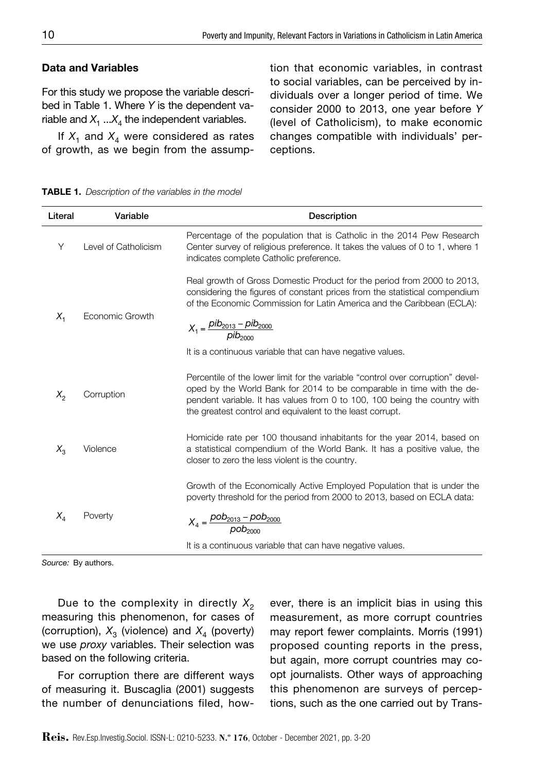#### Data and Variables

For this study we propose the variable described in Table 1. Where *Y* is the dependent variable and  $X_1 ... X_4$  the independent variables.

If  $X_1$  and  $X_4$  were considered as rates of growth, as we begin from the assumption that economic variables, in contrast to social variables, can be perceived by individuals over a longer period of time. We consider 2000 to 2013, one year before *Y* (level of Catholicism), to make economic changes compatible with individuals' perceptions.

TablE 1. *Description of the variables in the model*

| Literal | Variable             | Description                                                                                                                                                                                                                                                                                                                                         |
|---------|----------------------|-----------------------------------------------------------------------------------------------------------------------------------------------------------------------------------------------------------------------------------------------------------------------------------------------------------------------------------------------------|
| Υ       | Level of Catholicism | Percentage of the population that is Catholic in the 2014 Pew Research<br>Center survey of religious preference. It takes the values of 0 to 1, where 1<br>indicates complete Catholic preference.                                                                                                                                                  |
| $X_{1}$ | Economic Growth      | Real growth of Gross Domestic Product for the period from 2000 to 2013,<br>considering the figures of constant prices from the statistical compendium<br>of the Economic Commission for Latin America and the Caribbean (ECLA):<br>$X_1 = \frac{pib_{2013} - pib_{2000}}{pib_{2000}}$<br>It is a continuous variable that can have negative values. |
| $X_{2}$ | Corruption           | Percentile of the lower limit for the variable "control over corruption" devel-<br>oped by the World Bank for 2014 to be comparable in time with the de-<br>pendent variable. It has values from 0 to 100, 100 being the country with<br>the greatest control and equivalent to the least corrupt.                                                  |
| $X_{3}$ | Violence             | Homicide rate per 100 thousand inhabitants for the year 2014, based on<br>a statistical compendium of the World Bank. It has a positive value, the<br>closer to zero the less violent is the country.                                                                                                                                               |
| $X_{A}$ | Poverty              | Growth of the Economically Active Employed Population that is under the<br>poverty threshold for the period from 2000 to 2013, based on ECLA data:<br>$X_4 = \frac{pob_{2013} - pob_{2000}}{pob_{2000}}$                                                                                                                                            |
|         |                      | It is a continuous variable that can have negative values.                                                                                                                                                                                                                                                                                          |

*Source:* By authors.

Due to the complexity in directly  $X_2$ measuring this phenomenon, for cases of (corruption),  $X_3$  (violence) and  $X_4$  (poverty) we use *proxy* variables. Their selection was based on the following criteria.

For corruption there are different ways of measuring it. Buscaglia (2001) suggests the number of denunciations filed, however, there is an implicit bias in using this measurement, as more corrupt countries may report fewer complaints. Morris (1991) proposed counting reports in the press, but again, more corrupt countries may coopt journalists. Other ways of approaching this phenomenon are surveys of perceptions, such as the one carried out by Trans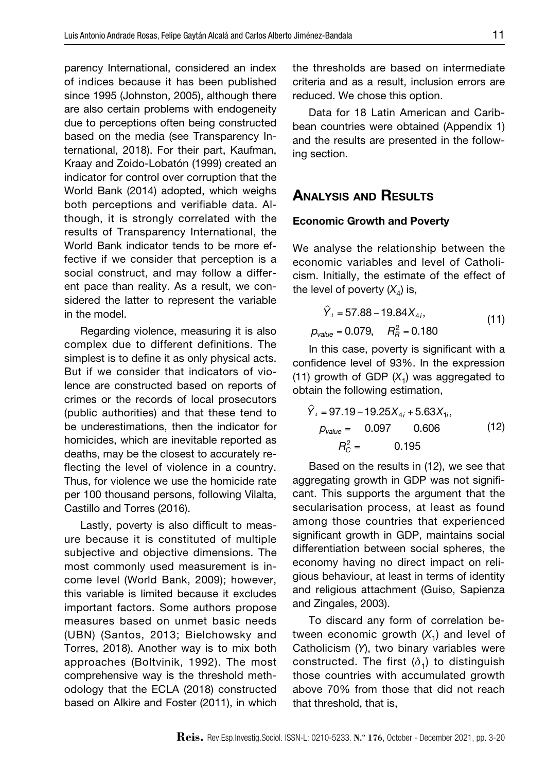parency International, considered an index of indices because it has been published since 1995 (Johnston, 2005), although there are also certain problems with endogeneity due to perceptions often being constructed based on the media (see Transparency International, 2018). For their part, Kaufman, Kraay and Zoido-Lobatón (1999) created an indicator for control over corruption that the World Bank (2014) adopted, which weighs both perceptions and verifiable data. Although, it is strongly correlated with the results of Transparency International, the World Bank indicator tends to be more effective if we consider that perception is a social construct, and may follow a different pace than reality. As a result, we considered the latter to represent the variable in the model.

Regarding violence, measuring it is also complex due to different definitions. The simplest is to define it as only physical acts. But if we consider that indicators of violence are constructed based on reports of crimes or the records of local prosecutors (public authorities) and that these tend to be underestimations, then the indicator for homicides, which are inevitable reported as deaths, may be the closest to accurately reflecting the level of violence in a country. Thus, for violence we use the homicide rate per 100 thousand persons, following Vilalta, Castillo and Torres (2016).

Lastly, poverty is also difficult to measure because it is constituted of multiple subjective and objective dimensions. The most commonly used measurement is income level (World Bank, 2009); however, this variable is limited because it excludes important factors. Some authors propose measures based on unmet basic needs (UBN) (Santos, 2013; Bielchowsky and Torres, 2018). Another way is to mix both approaches (Boltvinik, 1992). The most comprehensive way is the threshold methodology that the ECLA (2018) constructed based on Alkire and Foster (2011), in which the thresholds are based on intermediate criteria and as a result, inclusion errors are reduced. We chose this option.

Data for 18 Latin American and Caribbean countries were obtained (Appendix 1) and the results are presented in the following section.

## Analysis and Results

#### Economic Growth and Poverty

We analyse the relationship between the economic variables and level of Catholicism. Initially, the estimate of the effect of the level of poverty  $(X_4)$  is,

$$
\hat{Y}_i = 57.88 - 19.84 X_{4i},
$$
  
\n
$$
p_{value} = 0.079, \quad R_{\hat{B}}^2 = 0.180
$$
\n(11)

In this case, poverty is significant with a confidence level of 93%. In the expression (11) growth of GDP  $(X_1)$  was aggregated to obtain the following estimation,

$$
\hat{Y}_t = 97.19 - 19.25X_{4i} + 5.63X_{1i},
$$
  
\n
$$
p_{value} = 0.097 \qquad 0.606
$$
  
\n
$$
R_C^2 = 0.195
$$
 (12)

Based on the results in (12), we see that aggregating growth in GDP was not significant. This supports the argument that the secularisation process, at least as found among those countries that experienced significant growth in GDP, maintains social differentiation between social spheres, the economy having no direct impact on religious behaviour, at least in terms of identity and religious attachment (Guiso, Sapienza and Zingales, 2003).

To discard any form of correlation between economic growth  $(X_1)$  and level of Catholicism (*Y*), two binary variables were constructed. The first  $(\delta_1)$  to distinguish those countries with accumulated growth above 70% from those that did not reach that threshold, that is,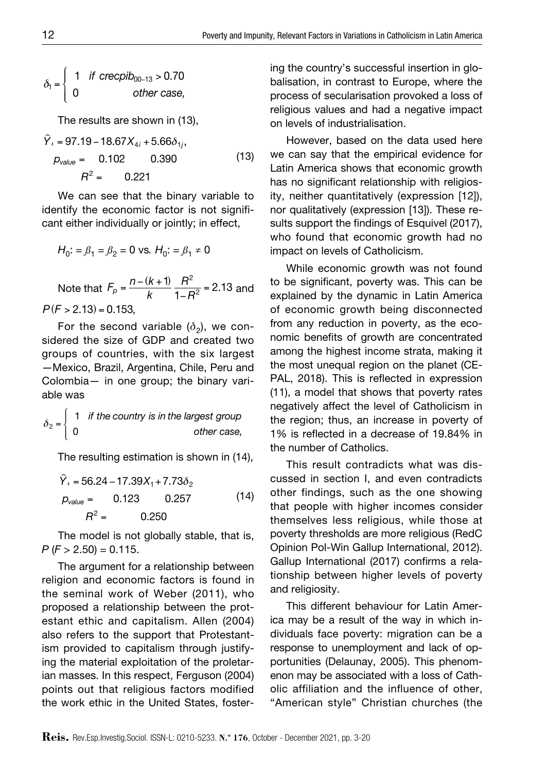$$
\delta_1 = \left\{ \begin{array}{ll} 1 & \text{if } \text{crecpib}_{00-13} > 0.70 \\ 0 & \text{other case,} \end{array} \right.
$$

The results are shown in (13),

$$
\hat{Y}_i = 97.19 - 18.67X_{4i} + 5.66\delta_{1i},
$$
  
\n
$$
p_{value} = 0.102 \qquad 0.390 \qquad (13)
$$
  
\n
$$
R^2 = 0.221
$$

We can see that the binary variable to identify the economic factor is not significant either individually or jointly; in effect,

$$
H_0
$$
: =  $\beta_1$  =  $\beta_2$  = 0 vs.  $H_0$ : =  $\beta_1 \neq 0$ 

Note that  $F_p = \frac{n - (k + 1)}{k}$  $\frac{R^2}{1-R^2}$  = 2.13 and *to be significal*<br>explained by tl  $P(F > 2.13) = 0.153$ 

For the second variable  $(\delta_2)$ , we considered the size of GDP and created two groups of countries, with the six largest —Mexico, Brazil, Argentina, Chile, Peru and Colombia— in one group; the binary variable was

$$
\delta_2 = \begin{cases} 1 & \text{if the country is in the largest group} \\ 0 & \text{other case,} \end{cases}
$$

The resulting estimation is shown in (14),

$$
\hat{Y}_t = 56.24 - 17.39X_1 + 7.73\delta_2
$$
  
\n
$$
p_{value} = 0.123 \qquad 0.257 \qquad (14)
$$
  
\n
$$
R^2 = 0.250
$$

The model is not globally stable, that is, *P* (*F* > 2.50) = 0.115.

The argument for a relationship between religion and economic factors is found in the seminal work of Weber (2011), who proposed a relationship between the protestant ethic and capitalism. Allen (2004) also refers to the support that Protestantism provided to capitalism through justifying the material exploitation of the proletarian masses. In this respect, Ferguson (2004) points out that religious factors modified the work ethic in the United States, fostering the country's successful insertion in globalisation, in contrast to Europe, where the process of secularisation provoked a loss of religious values and had a negative impact on levels of industrialisation.

However, based on the data used here we can say that the empirical evidence for Latin America shows that economic growth has no significant relationship with religiosity, neither quantitatively (expression [12]), nor qualitatively (expression [13]). These results support the findings of Esquivel (2017), who found that economic growth had no impact on levels of Catholicism.

While economic growth was not found to be significant, poverty was. This can be explained by the dynamic in Latin America of economic growth being disconnected from any reduction in poverty, as the economic benefits of growth are concentrated among the highest income strata, making it the most unequal region on the planet (CE-PAL, 2018). This is reflected in expression (11), a model that shows that poverty rates negatively affect the level of Catholicism in the region; thus, an increase in poverty of 1% is reflected in a decrease of 19.84% in the number of Catholics.

This result contradicts what was discussed in section I, and even contradicts other findings, such as the one showing that people with higher incomes consider themselves less religious, while those at poverty thresholds are more religious (RedC Opinion Pol-Win Gallup International, 2012). Gallup International (2017) confirms a relationship between higher levels of poverty and religiosity.

This different behaviour for Latin America may be a result of the way in which individuals face poverty: migration can be a response to unemployment and lack of opportunities (Delaunay, 2005). This phenomenon may be associated with a loss of Catholic affiliation and the influence of other, "American style" Christian churches (the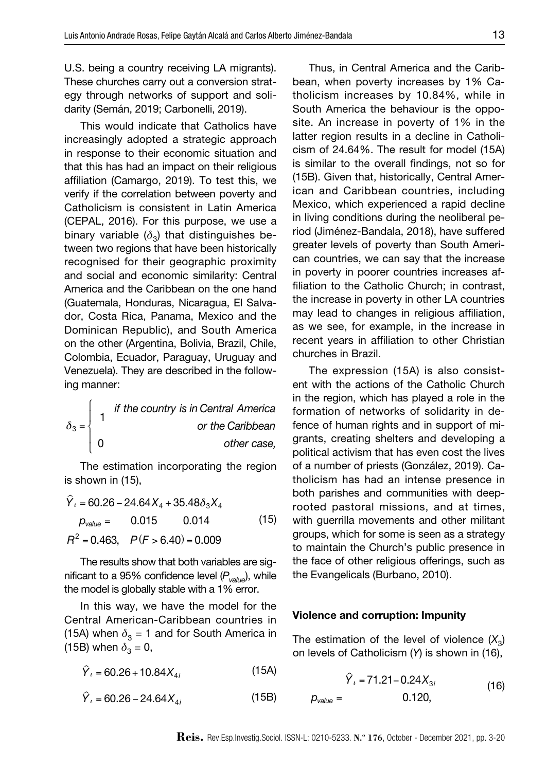U.S. being a country receiving LA migrants). These churches carry out a conversion strategy through networks of support and solidarity (Semán, 2019; Carbonelli, 2019).

This would indicate that Catholics have increasingly adopted a strategic approach in response to their economic situation and that this has had an impact on their religious affiliation (Camargo, 2019). To test this, we verify if the correlation between poverty and Catholicism is consistent in Latin America (CEPAL, 2016). For this purpose, we use a binary variable  $(\delta_2)$  that distinguishes between two regions that have been historically recognised for their geographic proximity and social and economic similarity: Central America and the Caribbean on the one hand (Guatemala, Honduras, Nicaragua, El Salvador, Costa Rica, Panama, Mexico and the Dominican Republic), and South America on the other (Argentina, Bolivia, Brazil, Chile, Colombia, Ecuador, Paraguay, Uruguay and Venezuela). They are described in the following manner:

$$
\delta_3 = \begin{cases}\n1 & \text{if the country is in Central America} \\
0 & \text{or the Caribbean} \\
0 & \text{other case,} \n\end{cases}
$$

The estimation incorporating the region is shown in (15),

$$
\hat{Y}_t = 60.26 - 24.64X_4 + 35.48\delta_3 X_4
$$
  
\n
$$
p_{value} = 0.015 \qquad 0.014 \qquad (15)
$$
  
\n
$$
R^2 = 0.463, \quad P(F > 6.40) = 0.009
$$

The results show that both variables are significant to a 95% confidence level (*Pvalue*), while the model is globally stable with a 1% error.

In this way, we have the model for the Central American-Caribbean countries in (15A) when  $\delta_3 = 1$  and for South America in (15B) when  $\delta_3 = 0$ ,

 $\hat{Y}_i = 60.26 + 10.84 X_{4i}$  (15A)

 $\hat{Y}_i = 60.26 - 24.64X_{4i}$  (15B)

Thus, in Central America and the Caribbean, when poverty increases by 1% Catholicism increases by 10.84%, while in South America the behaviour is the opposite. An increase in poverty of 1% in the latter region results in a decline in Catholicism of 24.64%. The result for model (15A) is similar to the overall findings, not so for (15B). Given that, historically, Central American and Caribbean countries, including Mexico, which experienced a rapid decline in living conditions during the neoliberal period (Jiménez-Bandala, 2018), have suffered greater levels of poverty than South American countries, we can say that the increase in poverty in poorer countries increases affiliation to the Catholic Church; in contrast, the increase in poverty in other LA countries may lead to changes in religious affiliation, as we see, for example, in the increase in recent years in affiliation to other Christian churches in Brazil.

The expression (15A) is also consistent with the actions of the Catholic Church in the region, which has played a role in the formation of networks of solidarity in defence of human rights and in support of migrants, creating shelters and developing a political activism that has even cost the lives of a number of priests (González, 2019). Catholicism has had an intense presence in both parishes and communities with deeprooted pastoral missions, and at times, with guerrilla movements and other militant groups, which for some is seen as a strategy to maintain the Church's public presence in the face of other religious offerings, such as the Evangelicals (Burbano, 2010).

#### Violence and corruption: Impunity

The estimation of the level of violence  $(X_3)$ on levels of Catholicism (*Y*) is shown in (16),

$$
\hat{Y}_i = 71.21 - 0.24 X_{3i}
$$
\n
$$
p_{value} = 0.120,
$$
\n(16)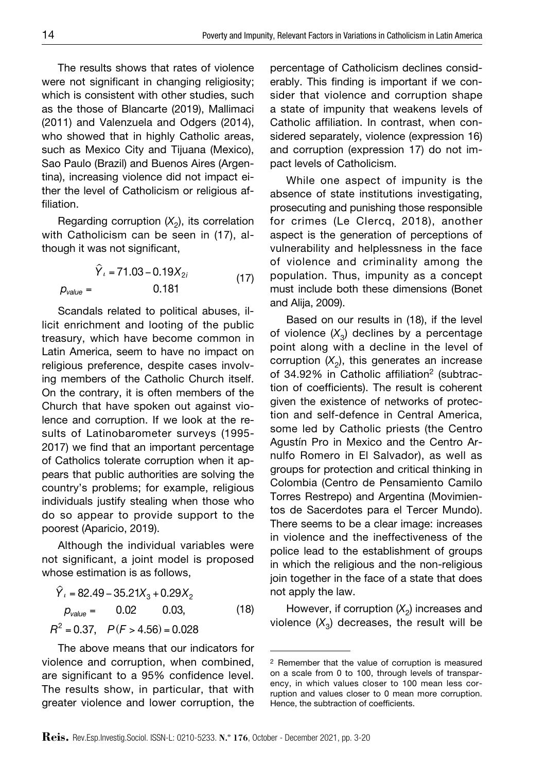The results shows that rates of violence were not significant in changing religiosity; which is consistent with other studies, such as the those of Blancarte (2019), Mallimaci (2011) and Valenzuela and Odgers (2014), who showed that in highly Catholic areas, such as Mexico City and Tijuana (Mexico), Sao Paulo (Brazil) and Buenos Aires (Argentina), increasing violence did not impact either the level of Catholicism or religious affiliation.

Regarding corruption  $(X_2)$ , its correlation with Catholicism can be seen in (17), although it was not significant,

 $\hat{Y}_i$  = 71.03 – 0.19 $X_{2i}$  $p_{value} = 0.181$ (17)

Scandals related to political abuses, illicit enrichment and looting of the public treasury, which have become common in Latin America, seem to have no impact on religious preference, despite cases involving members of the Catholic Church itself. On the contrary, it is often members of the Church that have spoken out against violence and corruption. If we look at the results of Latinobarometer surveys (1995- 2017) we find that an important percentage of Catholics tolerate corruption when it appears that public authorities are solving the country's problems; for example, religious individuals justify stealing when those who do so appear to provide support to the poorest (Aparicio, 2019).

Although the individual variables were not significant, a joint model is proposed whose estimation is as follows,

 $\hat{Y}_i$  = 82.49 – 35.21 $X_3$  + 0.29 $X_2$  $p_{value} = 0.02$  0.03,  $R^2 = 0.37$ ,  $P(F > 4.56) = 0.028$ (18)

The above means that our indicators for violence and corruption, when combined, are significant to a 95% confidence level. The results show, in particular, that with greater violence and lower corruption, the percentage of Catholicism declines considerably. This finding is important if we consider that violence and corruption shape a state of impunity that weakens levels of Catholic affiliation. In contrast, when considered separately, violence (expression 16) and corruption (expression 17) do not impact levels of Catholicism.

While one aspect of impunity is the absence of state institutions investigating, prosecuting and punishing those responsible for crimes (Le Clercq, 2018), another aspect is the generation of perceptions of vulnerability and helplessness in the face of violence and criminality among the population. Thus, impunity as a concept must include both these dimensions (Bonet and Alija, 2009).

Based on our results in (18), if the level of violence  $(X_3)$  declines by a percentage point along with a decline in the level of corruption  $(X_2)$ , this generates an increase of 34.92% in Catholic affiliation<sup>2</sup> (subtraction of coefficients). The result is coherent given the existence of networks of protection and self-defence in Central America, some led by Catholic priests (the Centro Agustín Pro in Mexico and the Centro Arnulfo Romero in El Salvador), as well as groups for protection and critical thinking in Colombia (Centro de Pensamiento Camilo Torres Restrepo) and Argentina (Movimientos de Sacerdotes para el Tercer Mundo). There seems to be a clear image: increases in violence and the ineffectiveness of the police lead to the establishment of groups in which the religious and the non-religious join together in the face of a state that does not apply the law.

However, if corruption  $(X_2)$  increases and violence  $(X_3)$  decreases, the result will be

<sup>2</sup> Remember that the value of corruption is measured on a scale from 0 to 100, through levels of transparency, in which values closer to 100 mean less corruption and values closer to 0 mean more corruption. Hence, the subtraction of coefficients.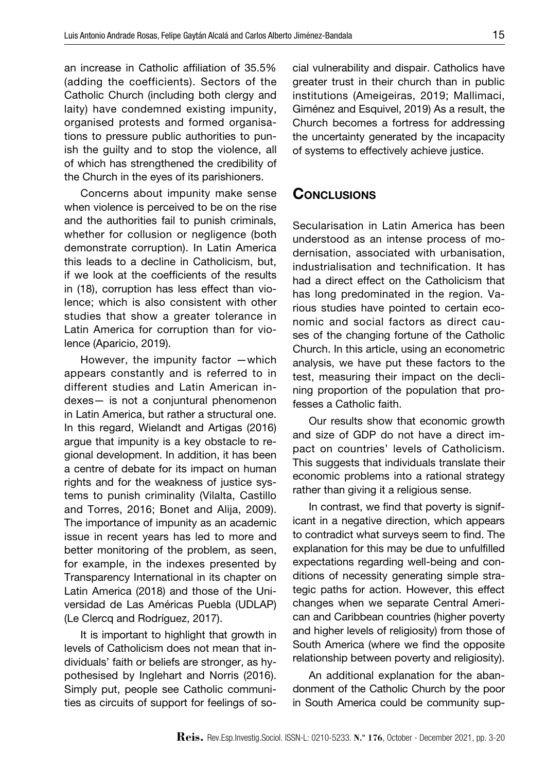an increase in Catholic affiliation of 35.5% (adding the coefficients). Sectors of the Catholic Church (including both clergy and laity) have condemned existing impunity, organised protests and formed organisations to pressure public authorities to punish the guilty and to stop the violence, all of which has strengthened the credibility of the Church in the eyes of its parishioners.

Concerns about impunity make sense when violence is perceived to be on the rise and the authorities fail to punish criminals, whether for collusion or negligence (both demonstrate corruption). In Latin America this leads to a decline in Catholicism, but, if we look at the coefficients of the results in (18), corruption has less effect than violence; which is also consistent with other studies that show a greater tolerance in Latin America for corruption than for violence (Aparicio, 2019).

However, the impunity factor —which appears constantly and is referred to in different studies and Latin American indexes— is not a conjuntural phenomenon in Latin America, but rather a structural one. In this regard, Wielandt and Artigas (2016) argue that impunity is a key obstacle to regional development. In addition, it has been a centre of debate for its impact on human rights and for the weakness of justice systems to punish criminality (Vilalta, Castillo and Torres, 2016; Bonet and Alija, 2009). The importance of impunity as an academic issue in recent years has led to more and better monitoring of the problem, as seen, for example, in the indexes presented by Transparency International in its chapter on Latin America (2018) and those of the Universidad de Las Américas Puebla (UDLAP) (Le Clercq and Rodríguez, 2017).

It is important to highlight that growth in levels of Catholicism does not mean that individuals' faith or beliefs are stronger, as hypothesised by Inglehart and Norris (2016). Simply put, people see Catholic communities as circuits of support for feelings of social vulnerability and dispair. Catholics have greater trust in their church than in public institutions (Ameigeiras, 2019; Mallimaci, Giménez and Esquivel, 2019) As a result, the Church becomes a fortress for addressing the uncertainty generated by the incapacity of systems to effectively achieve justice.

## **CONCLUSIONS**

Secularisation in Latin America has been understood as an intense process of modernisation, associated with urbanisation, industrialisation and technification. It has had a direct effect on the Catholicism that has long predominated in the region. Various studies have pointed to certain economic and social factors as direct causes of the changing fortune of the Catholic Church. In this article, using an econometric analysis, we have put these factors to the test, measuring their impact on the declining proportion of the population that professes a Catholic faith.

Our results show that economic growth and size of GDP do not have a direct impact on countries' levels of Catholicism. This suggests that individuals translate their economic problems into a rational strategy rather than giving it a religious sense.

In contrast, we find that poverty is significant in a negative direction, which appears to contradict what surveys seem to find. The explanation for this may be due to unfulfilled expectations regarding well-being and conditions of necessity generating simple strategic paths for action. However, this effect changes when we separate Central American and Caribbean countries (higher poverty and higher levels of religiosity) from those of South America (where we find the opposite relationship between poverty and religiosity).

An additional explanation for the abandonment of the Catholic Church by the poor in South America could be community sup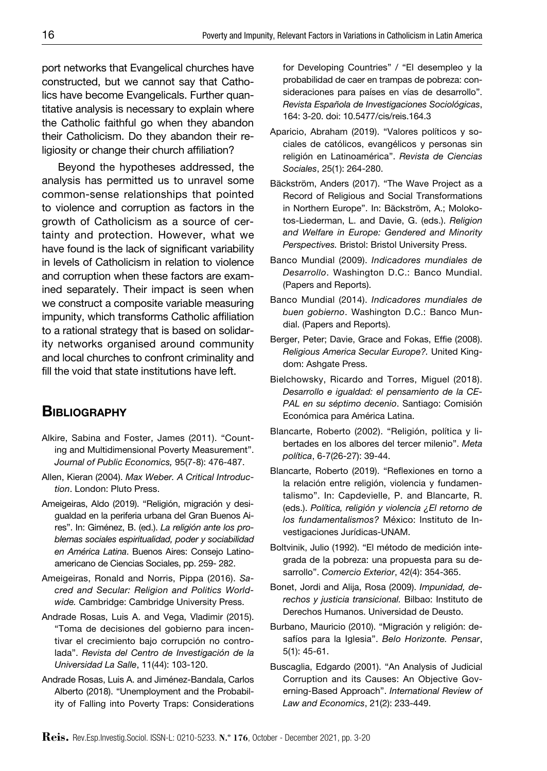port networks that Evangelical churches have constructed, but we cannot say that Catholics have become Evangelicals. Further quantitative analysis is necessary to explain where the Catholic faithful go when they abandon their Catholicism. Do they abandon their religiosity or change their church affiliation?

Beyond the hypotheses addressed, the analysis has permitted us to unravel some common-sense relationships that pointed to violence and corruption as factors in the growth of Catholicism as a source of certainty and protection. However, what we have found is the lack of significant variability in levels of Catholicism in relation to violence and corruption when these factors are examined separately. Their impact is seen when we construct a composite variable measuring impunity, which transforms Catholic affiliation to a rational strategy that is based on solidarity networks organised around community and local churches to confront criminality and fill the void that state institutions have left.

# **BIBLIOGRAPHY**

- Alkire, Sabina and Foster, James (2011). "Counting and Multidimensional Poverty Measurement". *Journal of Public Economics,* 95(7-8): 476-487.
- Allen, Kieran (2004). *Max Weber. A Critical Introduction*. London: Pluto Press.
- Ameigeiras, Aldo (2019). "Religión, migración y desigualdad en la periferia urbana del Gran Buenos Aires". In: Giménez, B. (ed.). *La religión ante los problemas sociales espiritualidad, poder y sociabilidad en América Latina*. Buenos Aires: Consejo Latinoamericano de Ciencias Sociales, pp. 259- 282.
- Ameigeiras, Ronald and Norris, Pippa (2016). *Sacred and Secular: Religion and Politics Worldwide.* Cambridge: Cambridge University Press.
- Andrade Rosas, Luis A. and Vega, Vladimir (2015). "Toma de decisiones del gobierno para incentivar el crecimiento bajo corrupción no controlada". *Revista del Centro de Investigación de la Universidad La Salle*, 11(44): 103-120.
- Andrade Rosas, Luis A. and Jiménez-Bandala, Carlos Alberto (2018). "Unemployment and the Probability of Falling into Poverty Traps: Considerations

for Developing Countries" / "El desempleo y la probabilidad de caer en trampas de pobreza: consideraciones para países en vías de desarrollo". *Revista Española de Investigaciones Sociológicas*, 164: 3-20. doi: 10.5477/cis/reis.164.3

- Aparicio, Abraham (2019). "Valores políticos y sociales de católicos, evangélicos y personas sin religión en Latinoamérica". *Revista de Ciencias Sociales*, 25(1): 264-280.
- Bäckström, Anders (2017). "The Wave Project as a Record of Religious and Social Transformations in Northern Europe". In: Bäckström, A.; Molokotos-Liederman, L. and Davie, G. (eds.). *Religion and Welfare in Europe: Gendered and Minority Perspectives.* Bristol: Bristol University Press.
- Banco Mundial (2009). *Indicadores mundiales de Desarrollo*. Washington D.C.: Banco Mundial. (Papers and Reports).
- Banco Mundial (2014). *Indicadores mundiales de buen gobierno*. Washington D.C.: Banco Mundial. (Papers and Reports).
- Berger, Peter; Davie, Grace and Fokas, Effie (2008). *Religious America Secular Europe?.* United Kingdom: Ashgate Press.
- Bielchowsky, Ricardo and Torres, Miguel (2018). *Desarrollo e igualdad: el pensamiento de la CE-PAL en su séptimo decenio*. Santiago: Comisión Económica para América Latina.
- Blancarte, Roberto (2002). "Religión, política y libertades en los albores del tercer milenio". *Meta política*, 6-7(26-27): 39-44.
- Blancarte, Roberto (2019). "Reflexiones en torno a la relación entre religión, violencia y fundamentalismo". In: Capdevielle, P. and Blancarte, R. (eds.). *Política, religión y violencia ¿El retorno de los fundamentalismos?* México: Instituto de Investigaciones Jurídicas-UNAM.
- Boltvinik, Julio (1992). "El método de medición integrada de la pobreza: una propuesta para su desarrollo". *Comercio Exterior*, 42(4): 354-365.
- Bonet, Jordi and Alija, Rosa (2009). *Impunidad, derechos y justicia transicional.* Bilbao: Instituto de Derechos Humanos. Universidad de Deusto.
- Burbano, Mauricio (2010). "Migración y religión: desafíos para la Iglesia". *Belo Horizonte. Pensar*, 5(1): 45-61.
- Buscaglia, Edgardo (2001). "An Analysis of Judicial Corruption and its Causes: An Objective Governing-Based Approach". *International Review of Law and Economics*, 21(2): 233-449.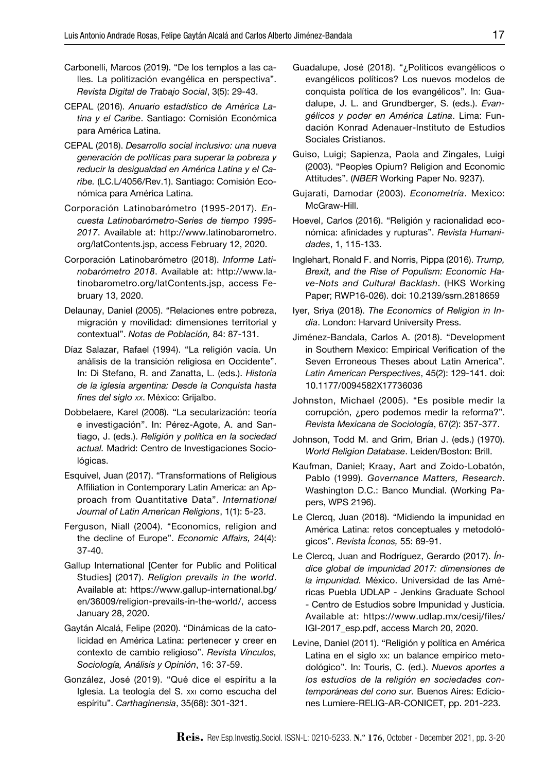- Carbonelli, Marcos (2019). "De los templos a las calles. La politización evangélica en perspectiva". *Revista Digital de Trabajo Social*, 3(5): 29-43.
- CEPAL (2016). *Anuario estadístico de América Latina y el Caribe*. Santiago: Comisión Económica para América Latina.
- CEPAL (2018). *Desarrollo social inclusivo: una nueva generación de políticas para superar la pobreza y reducir la desigualdad en América Latina y el Caribe.* (LC.L/4056/Rev.1). Santiago: Comisión Económica para América Latina.
- Corporación Latinobarómetro (1995-2017). *Encuesta Latinobarómetro-Series de tiempo 1995- 2017*. Available at: [http://www.latinobarometro.](http://www.latinobarometro.org/latContents.jsp) [org/latContents.jsp](http://www.latinobarometro.org/latContents.jsp), access February 12, 2020.
- Corporación Latinobarómetro (2018). *Informe Latinobarómetro 2018*. Available at: [http://www.la](http://www.latinobarometro.org/latContents.jsp)[tinobarometro.org/latContents.jsp,](http://www.latinobarometro.org/latContents.jsp) access February 13, 2020.
- Delaunay, Daniel (2005). "Relaciones entre pobreza, migración y movilidad: dimensiones territorial y contextual". *Notas de Población,* 84: 87-131.
- Díaz Salazar, Rafael (1994). "La religión vacía. Un análisis de la transición religiosa en Occidente". In: Di Stefano, R. and Zanatta, L. (eds.). *Historia de la iglesia argentina: Desde la Conquista hasta fines del siglo xx*. México: Grijalbo.
- Dobbelaere, Karel (2008). "La secularización: teoría e investigación". In: Pérez-Agote, A. and Santiago, J. (eds.). *Religión y política en la sociedad actual.* Madrid: Centro de Investigaciones Sociológicas.
- Esquivel, Juan (2017). "Transformations of Religious Affiliation in Contemporary Latin America: an Approach from Quantitative Data". *International Journal of Latin American Religions*, 1(1): 5-23.
- Ferguson, Niall (2004). "Economics, religion and the decline of Europe". *Economic Affairs,* 24(4): 37-40.
- Gallup International [Center for Public and Political Studies] (2017). *Religion prevails in the world*. Available at: [https://www.gallup-international.bg/](https://www.gallup-international.bg/en/36009/religion-prevails-in-the-world/) [en/36009/religion-prevails-in-the-world/,](https://www.gallup-international.bg/en/36009/religion-prevails-in-the-world/) access January 28, 2020.
- Gaytán Alcalá, Felipe (2020). "Dinámicas de la catolicidad en América Latina: pertenecer y creer en contexto de cambio religioso". *Revista Vínculos, Sociología, Análisis y Opinión*, 16: 37-59.
- González, José (2019). "Qué dice el espíritu a la Iglesia. La teología del S. xxi como escucha del espíritu". *Carthaginensia*, 35(68): 301-321.
- Guadalupe, José (2018). "¿Políticos evangélicos o evangélicos políticos? Los nuevos modelos de conquista política de los evangélicos". In: Guadalupe, J. L. and Grundberger, S. (eds.). *Evangélicos y poder en América Latina*. Lima: Fundación Konrad Adenauer-Instituto de Estudios Sociales Cristianos.
- Guiso, Luigi; Sapienza, Paola and Zingales, Luigi (2003). "Peoples Opium? Religion and Economic Attitudes". (*NBER* Working Paper No. 9237).
- Gujarati, Damodar (2003). *Econometría*. Mexico: McGraw-Hill.
- Hoevel, Carlos (2016). "Religión y racionalidad económica: afinidades y rupturas". *Revista Humanidades*, 1, 115-133.
- Inglehart, Ronald F. and Norris, Pippa (2016). *Trump, Brexit, and the Rise of Populism: Economic Have-Nots and Cultural Backlash*. (HKS Working Paper; RWP16-026). doi: 10.2139/ssrn.2818659
- Iyer, Sriya (2018). *The Economics of Religion in India*. London: Harvard University Press.
- Jiménez-Bandala, Carlos A. (2018). "Development in Southern Mexico: Empirical Verification of the Seven Erroneous Theses about Latin America". *Latin American Perspectives*, 45(2): 129-141. doi: 10.1177/0094582X17736036
- Johnston, Michael (2005). "Es posible medir la corrupción, ¿pero podemos medir la reforma?". *Revista Mexicana de Sociología*, 67(2): 357-377.
- Johnson, Todd M. and Grim, Brian J. (eds.) (1970). *World Religion Database*. Leiden/Boston: Brill.
- Kaufman, Daniel; Kraay, Aart and Zoido-Lobatón, Pablo (1999). *Governance Matters, Research*. Washington D.C.: Banco Mundial. (Working Papers, WPS 2196).
- Le Clercq, Juan (2018). "Midiendo la impunidad en América Latina: retos conceptuales y metodológicos". *Revista Íconos,* 55: 69-91.
- Le Clercq, Juan and Rodríguez, Gerardo (2017). *Índice global de impunidad 2017: dimensiones de la impunidad.* México. Universidad de las Américas Puebla UDLAP - Jenkins Graduate School - Centro de Estudios sobre Impunidad y Justicia. Available at: [https://www.udlap.mx/cesij/files/](https://www.udlap.mx/cesij/files/IGI-2017_esp.pdf) [IGI-2017\\_esp.pdf,](https://www.udlap.mx/cesij/files/IGI-2017_esp.pdf) access March 20, 2020.
- Levine, Daniel (2011). "Religión y política en América Latina en el siglo xx: un balance empírico metodológico". In: Touris, C. (ed.). *Nuevos aportes a los estudios de la religión en sociedades contemporáneas del cono sur.* Buenos Aires: Ediciones Lumiere-RELIG-AR-CONICET, pp. 201-223.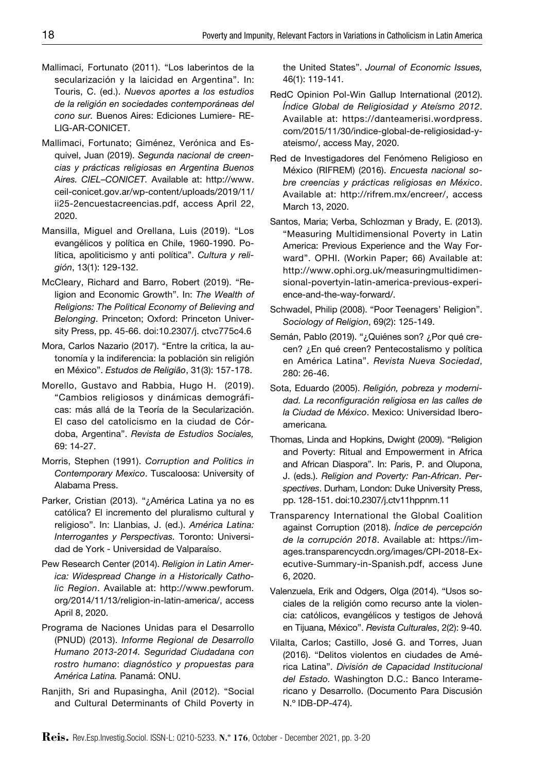- Mallimaci, Fortunato (2011). "Los laberintos de la secularización y la laicidad en Argentina". In: Touris, C. (ed.). *Nuevos aportes a los estudios de la religión en sociedades contemporáneas del cono sur.* Buenos Aires: Ediciones Lumiere- RE-LIG-AR-CONICET.
- Mallimaci, Fortunato; Giménez, Verónica and Esquivel, Juan (2019). *Segunda nacional de creencias y prácticas religiosas en Argentina Buenos Aires. CIEL–CONICET.* Available at: [http://www.](http://www.ceil-conicet.gov.ar/wp-content/uploads/2019/11/ii25-2encuestacreencias.pdf) [ceil-conicet.gov.ar/wp-content/uploads/2019/11/](http://www.ceil-conicet.gov.ar/wp-content/uploads/2019/11/ii25-2encuestacreencias.pdf) [ii25-2encuestacreencias.pdf](http://www.ceil-conicet.gov.ar/wp-content/uploads/2019/11/ii25-2encuestacreencias.pdf), access April 22, 2020.
- Mansilla, Miguel and Orellana, Luis (2019). "Los evangélicos y política en Chile, 1960-1990. Política, apoliticismo y anti política". *Cultura y religión*, 13(1): 129-132.
- McCleary, Richard and Barro, Robert (2019). "Religion and Economic Growth". In: *The Wealth of Religions: The Political Economy of Believing and Belonging*. Princeton; Oxford: Princeton University Press, pp. 45-66. doi:10.2307/j. ctvc775c4.6
- Mora, Carlos Nazario (2017). "Entre la crítica, la autonomía y la indiferencia: la población sin religión en México". *Estudos de Religião*, 31(3): 157-178.
- Morello, Gustavo and Rabbia, Hugo H. (2019). "Cambios religiosos y dinámicas demográficas: más allá de la Teoría de la Secularización. El caso del catolicismo en la ciudad de Córdoba, Argentina". *Revista de Estudios Sociales,*  69: 14-27.
- Morris, Stephen (1991). *Corruption and Politics in Contemporary Mexico*. Tuscaloosa: University of Alabama Press.
- Parker, Cristian (2013). "¿América Latina ya no es católica? El incremento del pluralismo cultural y religioso". In: Llanbias, J. (ed.). *América Latina: Interrogantes y Perspectivas.* Toronto: Universidad de York - Universidad de Valparaíso.
- Pew Research Center (2014). *Religion in Latin America: Widespread Change in a Historically Catholic Region*. Available at: [http://www.pewforum.](http://www.pewforum.org/2014/11/13/religion-in-latin-america/) [org/2014/11/13/religion-in-latin-america/,](http://www.pewforum.org/2014/11/13/religion-in-latin-america/) access April 8, 2020.
- Programa de Naciones Unidas para el Desarrollo (PNUD) (2013). *Informe Regional de Desarrollo Humano 2013-2014. Seguridad Ciudadana con rostro humano*: *diagnóstico y propuestas para América Latina.* Panamá: ONU.
- Ranjith, Sri and Rupasingha, Anil (2012). "Social and Cultural Determinants of Child Poverty in

the United States". *Journal of Economic Issues,*  46(1): 119-141*.* 

- RedC Opinion Pol-Win Gallup International (2012). *Índice Global de Religiosidad y Ateísmo 2012*. Available at: [https://danteamerisi.wordpress.](https://danteamerisi.wordpress.com/2015/11/30/indice-global-de-religiosidad-y-ateismo/) [com/2015/11/30/indice-global-de-religiosidad-y](https://danteamerisi.wordpress.com/2015/11/30/indice-global-de-religiosidad-y-ateismo/)[ateismo/](https://danteamerisi.wordpress.com/2015/11/30/indice-global-de-religiosidad-y-ateismo/), access May, 2020.
- Red de Investigadores del Fenómeno Religioso en México (RIFREM) (2016). *Encuesta nacional sobre creencias y prácticas religiosas en México*. Available at: <http://rifrem.mx/encreer/>, access March 13, 2020.
- Santos, Maria; Verba, Schlozman y Brady, E. (2013). "Measuring Multidimensional Poverty in Latin America: Previous Experience and the Way Forward". OPHI. (Workin Paper; 66) Available at: http://www.ophi.org.uk/measuringmultidimensional-povertyin-latin-america-previous-experience-and-the-way-forward/.
- Schwadel, Philip (2008). "Poor Teenagers' Religion". *Sociology of Religion*, 69(2): 125-149.
- Semán, Pablo (2019). "¿Quiénes son? ¿Por qué crecen? ¿En qué creen? Pentecostalismo y política en América Latina". *Revista Nueva Sociedad*, 280: 26-46.
- Sota, Eduardo (2005). *Religión, pobreza y modernidad. La reconfiguración religiosa en las calles de la Ciudad de México*. Mexico: Universidad Iberoamericana*.*
- Thomas, Linda and Hopkins, Dwight (2009). "Religion and Poverty: Ritual and Empowerment in Africa and African Diaspora". In: Paris, P. and Olupona, J. (eds.). *Religion and Poverty: Pan-African*. *Perspectives*. Durham, London: Duke University Press, pp. 128-151. doi:10.2307/j.ctv11hppnm.11
- Transparency International the Global Coalition against Corruption (2018). *Índice de percepción de la corrupción 2018*. Available at: [https://im](https://images.transparencycdn.org/images/CPI-2018-Executive-Summary-in-Spanish.pdf)[ages.transparencycdn.org/images/CPI-2018-Ex](https://images.transparencycdn.org/images/CPI-2018-Executive-Summary-in-Spanish.pdf)[ecutive-Summary-in-Spanish.pdf](https://images.transparencycdn.org/images/CPI-2018-Executive-Summary-in-Spanish.pdf), access June 6, 2020.
- Valenzuela, Erik and Odgers, Olga (2014). "Usos sociales de la religión como recurso ante la violencia: católicos, evangélicos y testigos de Jehová en Tijuana, México". *Revista Culturales*, 2(2): 9-40.
- Vilalta, Carlos; Castillo, José G. and Torres, Juan (2016). "Delitos violentos en ciudades de América Latina". *División de Capacidad Institucional del Estado.* Washington D.C.: Banco Interamericano y Desarrollo. (Documento Para Discusión N.º IDB-DP-474).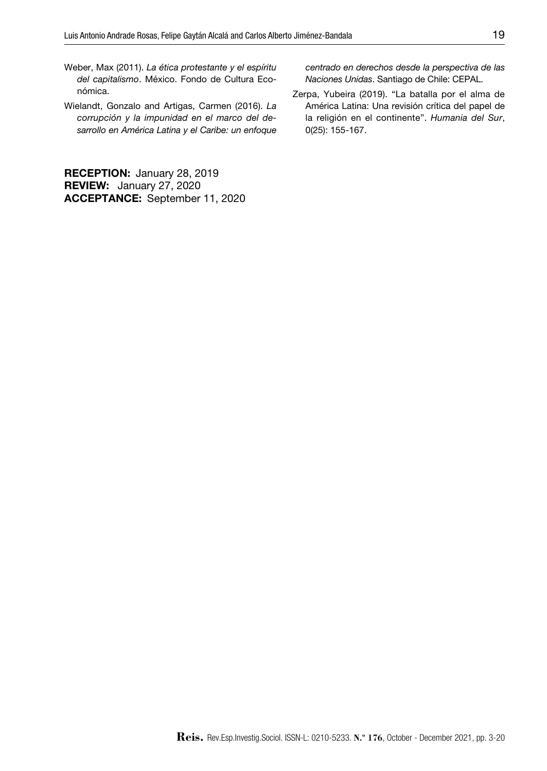- Weber, Max (2011). *La ética protestante y el espíritu del capitalismo*. México. Fondo de Cultura Económica.
- Wielandt, Gonzalo and Artigas, Carmen (2016). *La corrupción y la impunidad en el marco del desarrollo en América Latina y el Caribe: un enfoque*

RECEPTION: January 28, 2019 REVIEW: January 27, 2020 ACCEPTANCE: September 11, 2020 *centrado en derechos desde la perspectiva de las Naciones Unidas*. Santiago de Chile: CEPAL.

Zerpa, Yubeira (2019). "La batalla por el alma de América Latina: Una revisión crítica del papel de la religión en el continente". *Humania del Sur*, 0(25): 155-167.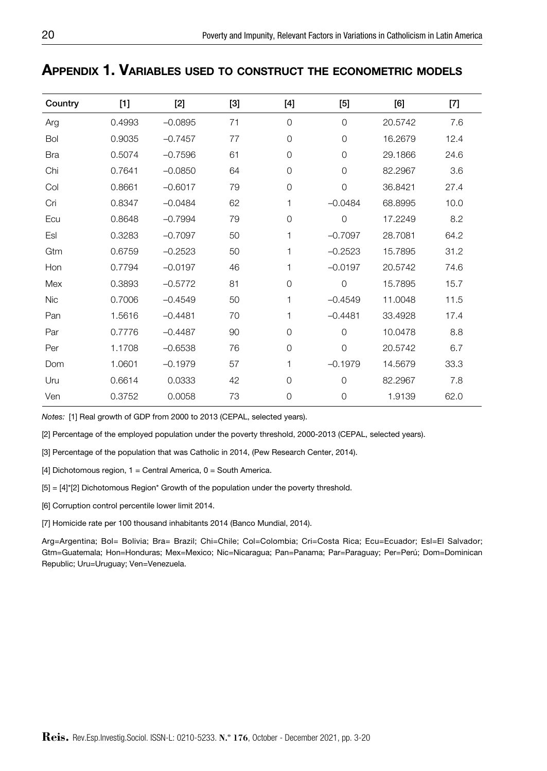| Country    | $[1]$  | $[2]$     | $[3]$ | $[4] \centering% \includegraphics[width=1.0\textwidth]{images/TransY.pdf} \caption{The first two different values of $g_I$ and $g_I$ are shown in the left (upper) and the right (lower) and the right (lower) are shown in the right (lower) and the right (lower) are shown in the right (lower) and the right (lower) are shown in the right (lower) and the right (lower) are shown in the right (lower) and the right (lower) are shown in the right (lower) and the right (lower) are shown in the right (lower) and the right (lower) are shown in the right (lower) and the right (lower) are shown in the right (lower) and the right (lower) are shown in the right (lower) and the right (lower) are shown in the right (lower) and the right (lower) are shown in the right (lower) and the right (lower) are shown$ | $[5]$          | [6]     | [7]  |
|------------|--------|-----------|-------|----------------------------------------------------------------------------------------------------------------------------------------------------------------------------------------------------------------------------------------------------------------------------------------------------------------------------------------------------------------------------------------------------------------------------------------------------------------------------------------------------------------------------------------------------------------------------------------------------------------------------------------------------------------------------------------------------------------------------------------------------------------------------------------------------------------------------------|----------------|---------|------|
| Arg        | 0.4993 | $-0.0895$ | 71    | $\overline{0}$                                                                                                                                                                                                                                                                                                                                                                                                                                                                                                                                                                                                                                                                                                                                                                                                                   | $\Omega$       | 20.5742 | 7.6  |
| Bol        | 0.9035 | $-0.7457$ | 77    | $\Omega$                                                                                                                                                                                                                                                                                                                                                                                                                                                                                                                                                                                                                                                                                                                                                                                                                         | $\Omega$       | 16.2679 | 12.4 |
| <b>Bra</b> | 0.5074 | $-0.7596$ | 61    | $\overline{0}$                                                                                                                                                                                                                                                                                                                                                                                                                                                                                                                                                                                                                                                                                                                                                                                                                   | $\circ$        | 29.1866 | 24.6 |
| Chi        | 0.7641 | $-0.0850$ | 64    | $\overline{0}$                                                                                                                                                                                                                                                                                                                                                                                                                                                                                                                                                                                                                                                                                                                                                                                                                   | $\Omega$       | 82.2967 | 3.6  |
| Col        | 0.8661 | $-0.6017$ | 79    | $\mathbf 0$                                                                                                                                                                                                                                                                                                                                                                                                                                                                                                                                                                                                                                                                                                                                                                                                                      | $\overline{O}$ | 36.8421 | 27.4 |
| Cri        | 0.8347 | $-0.0484$ | 62    | 1                                                                                                                                                                                                                                                                                                                                                                                                                                                                                                                                                                                                                                                                                                                                                                                                                                | $-0.0484$      | 68.8995 | 10.0 |
| Ecu        | 0.8648 | $-0.7994$ | 79    | $\overline{0}$                                                                                                                                                                                                                                                                                                                                                                                                                                                                                                                                                                                                                                                                                                                                                                                                                   | $\overline{O}$ | 17.2249 | 8.2  |
| Esl        | 0.3283 | $-0.7097$ | 50    | 1                                                                                                                                                                                                                                                                                                                                                                                                                                                                                                                                                                                                                                                                                                                                                                                                                                | $-0.7097$      | 28.7081 | 64.2 |
| Gtm        | 0.6759 | $-0.2523$ | 50    | 1                                                                                                                                                                                                                                                                                                                                                                                                                                                                                                                                                                                                                                                                                                                                                                                                                                | $-0.2523$      | 15.7895 | 31.2 |
| Hon        | 0.7794 | $-0.0197$ | 46    | 1                                                                                                                                                                                                                                                                                                                                                                                                                                                                                                                                                                                                                                                                                                                                                                                                                                | $-0.0197$      | 20.5742 | 74.6 |
| Mex        | 0.3893 | $-0.5772$ | 81    | $\mathbf 0$                                                                                                                                                                                                                                                                                                                                                                                                                                                                                                                                                                                                                                                                                                                                                                                                                      | $\mathbf 0$    | 15.7895 | 15.7 |
| Nic        | 0.7006 | $-0.4549$ | 50    | 1                                                                                                                                                                                                                                                                                                                                                                                                                                                                                                                                                                                                                                                                                                                                                                                                                                | $-0.4549$      | 11.0048 | 11.5 |
| Pan        | 1.5616 | $-0.4481$ | 70    | 1                                                                                                                                                                                                                                                                                                                                                                                                                                                                                                                                                                                                                                                                                                                                                                                                                                | $-0.4481$      | 33.4928 | 17.4 |
| Par        | 0.7776 | $-0.4487$ | 90    | $\mathbf{O}$                                                                                                                                                                                                                                                                                                                                                                                                                                                                                                                                                                                                                                                                                                                                                                                                                     | $\Omega$       | 10.0478 | 8.8  |
| Per        | 1.1708 | $-0.6538$ | 76    | $\mathbf{O}$                                                                                                                                                                                                                                                                                                                                                                                                                                                                                                                                                                                                                                                                                                                                                                                                                     | $\Omega$       | 20.5742 | 6.7  |
| Dom        | 1.0601 | $-0.1979$ | 57    | 1                                                                                                                                                                                                                                                                                                                                                                                                                                                                                                                                                                                                                                                                                                                                                                                                                                | $-0.1979$      | 14.5679 | 33.3 |
| Uru        | 0.6614 | 0.0333    | 42    | $\mathbf{0}$                                                                                                                                                                                                                                                                                                                                                                                                                                                                                                                                                                                                                                                                                                                                                                                                                     | $\Omega$       | 82.2967 | 7.8  |
| Ven        | 0.3752 | 0.0058    | 73    | $\overline{0}$                                                                                                                                                                                                                                                                                                                                                                                                                                                                                                                                                                                                                                                                                                                                                                                                                   | $\Omega$       | 1.9139  | 62.0 |

# Appendix 1. Variables used to construct the econometric models

*Notes:* [1] Real growth of GDP from 2000 to 2013 (CEPAL, selected years).

[2] Percentage of the employed population under the poverty threshold, 2000-2013 (CEPAL, selected years).

[3] Percentage of the population that was Catholic in 2014, (Pew Research Center, 2014).

[4] Dichotomous region,  $1 =$  Central America,  $0 =$  South America.

 $[5] = [4]^{\times}[2]$  Dichotomous Region\* Growth of the population under the poverty threshold.

[6] Corruption control percentile lower limit 2014.

[7] Homicide rate per 100 thousand inhabitants 2014 (Banco Mundial, 2014).

Arg=Argentina; Bol= Bolivia; Bra= Brazil; Chi=Chile; Col=Colombia; Cri=Costa Rica; Ecu=Ecuador; Esl=El Salvador; Gtm=Guatemala; Hon=Honduras; Mex=Mexico; Nic=Nicaragua; Pan=Panama; Par=Paraguay; Per=Perú; Dom=Dominican Republic; Uru=Uruguay; Ven=Venezuela.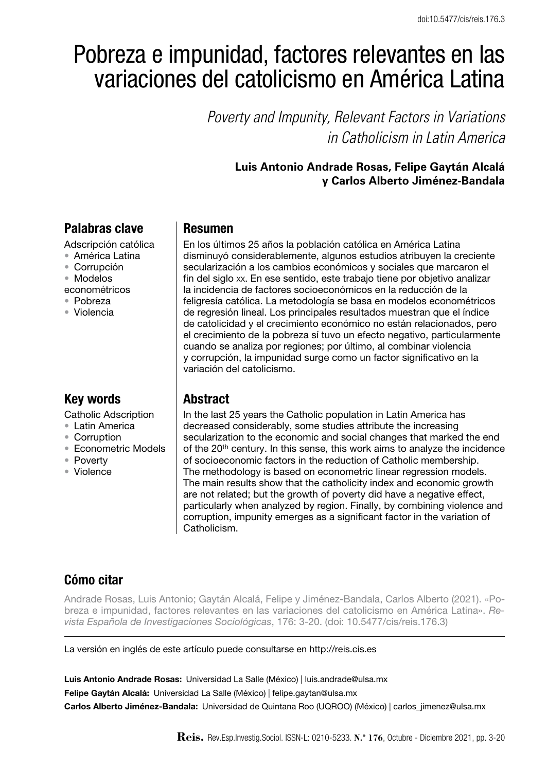# Pobreza e impunidad, factores relevantes en las variaciones del catolicismo en América Latina

*Poverty and Impunity, Relevant Factors in Variations in Catholicism in Latin America*

## **Luis Antonio Andrade Rosas, Felipe Gaytán Alcalá y Carlos Alberto Jiménez-Bandala**

# Palabras clave

Adscripción católica

- • América Latina
- • Corrupción
- • Modelos
- econométricos
- • Pobreza
- • Violencia

# Key words

Catholic Adscription

- Latin America
- • Corruption
- • Econometric Models
- • Poverty
- • Violence

## Resumen

En los últimos 25 años la población católica en América Latina disminuyó considerablemente, algunos estudios atribuyen la creciente secularización a los cambios económicos y sociales que marcaron el fin del siglo xx. En ese sentido, este trabajo tiene por objetivo analizar la incidencia de factores socioeconómicos en la reducción de la feligresía católica. La metodología se basa en modelos econométricos de regresión lineal. Los principales resultados muestran que el índice de catolicidad y el crecimiento económico no están relacionados, pero el crecimiento de la pobreza sí tuvo un efecto negativo, particularmente cuando se analiza por regiones; por último, al combinar violencia y corrupción, la impunidad surge como un factor significativo en la variación del catolicismo.

# **Abstract**

In the last 25 years the Catholic population in Latin America has decreased considerably, some studies attribute the increasing secularization to the economic and social changes that marked the end of the 20<sup>th</sup> century. In this sense, this work aims to analyze the incidence of socioeconomic factors in the reduction of Catholic membership. The methodology is based on econometric linear regression models. The main results show that the catholicity index and economic growth are not related; but the growth of poverty did have a negative effect, particularly when analyzed by region. Finally, by combining violence and corruption, impunity emerges as a significant factor in the variation of Catholicism.

# Cómo citar

Andrade Rosas, Luis Antonio; Gaytán Alcalá, Felipe y Jiménez-Bandala, Carlos Alberto (2021). «Pobreza e impunidad, factores relevantes en las variaciones del catolicismo en América Latina». *Revista Española de Investigaciones Sociológicas*, 176: 3-20. (doi: 10.5477/cis/reis.176.3)

La versión en inglés de este artículo puede consultarse en http://reis.cis.es

Luis Antonio Andrade Rosas: Universidad La Salle (México) | luis.andrade@ulsa.mx Felipe Gaytán Alcalá: Universidad La Salle (México) | felipe.gaytan@ulsa.mx Carlos Alberto Jiménez-Bandala: Universidad de Quintana Roo (UQROO) (México) | carlos\_jimenez@ulsa.mx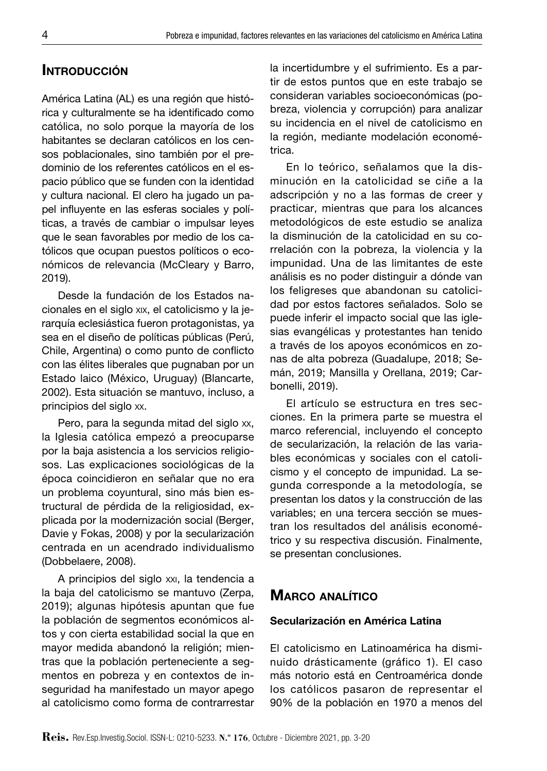## **INTRODUCCIÓN**

América Latina (AL) es una región que histórica y culturalmente se ha identificado como católica, no solo porque la mayoría de los habitantes se declaran católicos en los censos poblacionales, sino también por el predominio de los referentes católicos en el espacio público que se funden con la identidad y cultura nacional. El clero ha jugado un papel influyente en las esferas sociales y políticas, a través de cambiar o impulsar leyes que le sean favorables por medio de los católicos que ocupan puestos políticos o económicos de relevancia (McCleary y Barro, 2019).

Desde la fundación de los Estados nacionales en el siglo xix, el catolicismo y la jerarquía eclesiástica fueron protagonistas, ya sea en el diseño de políticas públicas (Perú, Chile, Argentina) o como punto de conflicto con las élites liberales que pugnaban por un Estado laico (México, Uruguay) (Blancarte, 2002). Esta situación se mantuvo, incluso, a principios del siglo xx.

Pero, para la segunda mitad del siglo xx, la Iglesia católica empezó a preocuparse por la baja asistencia a los servicios religiosos. Las explicaciones sociológicas de la época coincidieron en señalar que no era un problema coyuntural, sino más bien estructural de pérdida de la religiosidad, explicada por la modernización social (Berger, Davie y Fokas, 2008) y por la secularización centrada en un acendrado individualismo (Dobbelaere, 2008).

A principios del siglo xxi, la tendencia a la baja del catolicismo se mantuvo (Zerpa, 2019); algunas hipótesis apuntan que fue la población de segmentos económicos altos y con cierta estabilidad social la que en mayor medida abandonó la religión; mientras que la población perteneciente a segmentos en pobreza y en contextos de inseguridad ha manifestado un mayor apego al catolicismo como forma de contrarrestar

la incertidumbre y el sufrimiento. Es a partir de estos puntos que en este trabajo se consideran variables socioeconómicas (pobreza, violencia y corrupción) para analizar su incidencia en el nivel de catolicismo en la región, mediante modelación econométrica.

En lo teórico, señalamos que la disminución en la catolicidad se ciñe a la adscripción y no a las formas de creer y practicar, mientras que para los alcances metodológicos de este estudio se analiza la disminución de la catolicidad en su correlación con la pobreza, la violencia y la impunidad. Una de las limitantes de este análisis es no poder distinguir a dónde van los feligreses que abandonan su catolicidad por estos factores señalados. Solo se puede inferir el impacto social que las iglesias evangélicas y protestantes han tenido a través de los apoyos económicos en zonas de alta pobreza (Guadalupe, 2018; Semán, 2019; Mansilla y Orellana, 2019; Carbonelli, 2019).

El artículo se estructura en tres secciones. En la primera parte se muestra el marco referencial, incluyendo el concepto de secularización, la relación de las variables económicas y sociales con el catolicismo y el concepto de impunidad. La segunda corresponde a la metodología, se presentan los datos y la construcción de las variables; en una tercera sección se muestran los resultados del análisis econométrico y su respectiva discusión. Finalmente, se presentan conclusiones.

#### Marco analítico

#### Secularización en América Latina

El catolicismo en Latinoamérica ha disminuido drásticamente (gráfico 1). El caso más notorio está en Centroamérica donde los católicos pasaron de representar el 90% de la población en 1970 a menos del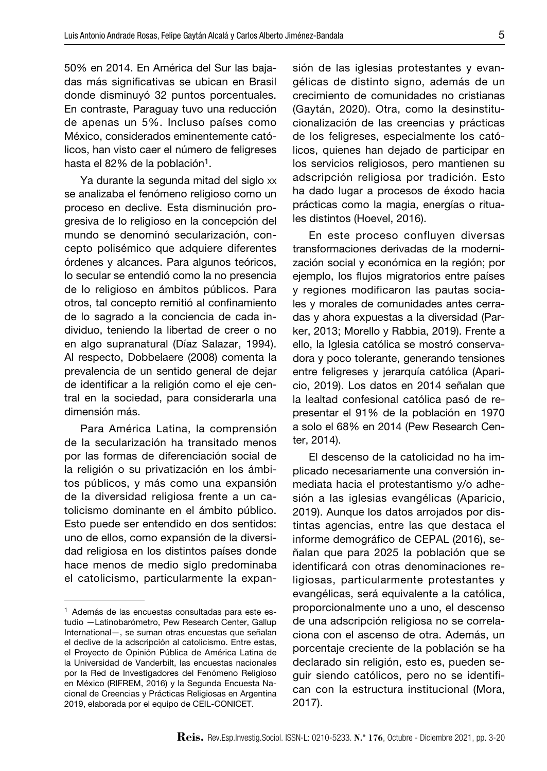50% en 2014. En América del Sur las bajadas más significativas se ubican en Brasil donde disminuyó 32 puntos porcentuales. En contraste, Paraguay tuvo una reducción de apenas un 5%. Incluso países como México, considerados eminentemente católicos, han visto caer el número de feligreses hasta el 82% de la población<sup>1</sup>.

Ya durante la segunda mitad del siglo xx se analizaba el fenómeno religioso como un proceso en declive. Esta disminución progresiva de lo religioso en la concepción del mundo se denominó secularización, concepto polisémico que adquiere diferentes órdenes y alcances. Para algunos teóricos, lo secular se entendió como la no presencia de lo religioso en ámbitos públicos. Para otros, tal concepto remitió al confinamiento de lo sagrado a la conciencia de cada individuo, teniendo la libertad de creer o no en algo supranatural (Díaz Salazar, 1994). Al respecto, Dobbelaere (2008) comenta la prevalencia de un sentido general de dejar de identificar a la religión como el eje central en la sociedad, para considerarla una dimensión más.

Para América Latina, la comprensión de la secularización ha transitado menos por las formas de diferenciación social de la religión o su privatización en los ámbitos públicos, y más como una expansión de la diversidad religiosa frente a un catolicismo dominante en el ámbito público. Esto puede ser entendido en dos sentidos: uno de ellos, como expansión de la diversidad religiosa en los distintos países donde hace menos de medio siglo predominaba el catolicismo, particularmente la expansión de las iglesias protestantes y evangélicas de distinto signo, además de un crecimiento de comunidades no cristianas (Gaytán, 2020). Otra, como la desinstitucionalización de las creencias y prácticas de los feligreses, especialmente los católicos, quienes han dejado de participar en los servicios religiosos, pero mantienen su adscripción religiosa por tradición. Esto ha dado lugar a procesos de éxodo hacia prácticas como la magia, energías o rituales distintos (Hoevel, 2016).

En este proceso confluyen diversas transformaciones derivadas de la modernización social y económica en la región; por ejemplo, los flujos migratorios entre países y regiones modificaron las pautas sociales y morales de comunidades antes cerradas y ahora expuestas a la diversidad (Parker, 2013; Morello y Rabbia, 2019). Frente a ello, la Iglesia católica se mostró conservadora y poco tolerante, generando tensiones entre feligreses y jerarquía católica (Aparicio, 2019). Los datos en 2014 señalan que la lealtad confesional católica pasó de representar el 91% de la población en 1970 a solo el 68% en 2014 (Pew Research Center, 2014).

El descenso de la catolicidad no ha implicado necesariamente una conversión inmediata hacia el protestantismo y/o adhesión a las iglesias evangélicas (Aparicio, 2019). Aunque los datos arrojados por distintas agencias, entre las que destaca el informe demográfico de CEPAL (2016), señalan que para 2025 la población que se identificará con otras denominaciones religiosas, particularmente protestantes y evangélicas, será equivalente a la católica, proporcionalmente uno a uno, el descenso de una adscripción religiosa no se correlaciona con el ascenso de otra. Además, un porcentaje creciente de la población se ha declarado sin religión, esto es, pueden seguir siendo católicos, pero no se identifican con la estructura institucional (Mora, 2017).

<sup>1</sup> Además de las encuestas consultadas para este estudio —Latinobarómetro, Pew Research Center, Gallup International—, se suman otras encuestas que señalan el declive de la adscripción al catolicismo. Entre estas, el Proyecto de Opinión Pública de América Latina de la Universidad de Vanderbilt, las encuestas nacionales por la Red de Investigadores del Fenómeno Religioso en México (RIFREM, 2016) y la Segunda Encuesta Nacional de Creencias y Prácticas Religiosas en Argentina 2019, elaborada por el equipo de CEIL-CONICET.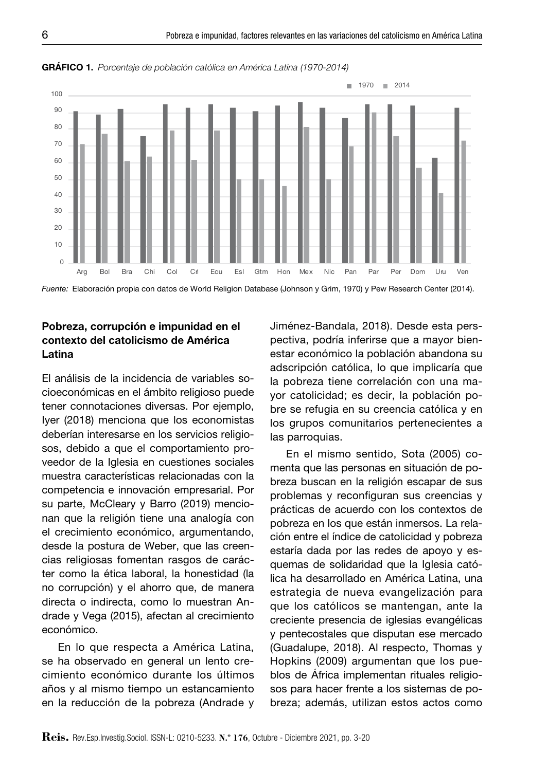

Gráfico 1. *Porcentaje de población católica en América Latina (1970-2014)*

*Fuente:* Elaboración propia con datos de World Religion Database (Johnson y Grim, 1970) y Pew Research Center (2014).

## Pobreza, corrupción e impunidad en el contexto del catolicismo de América Latina

El análisis de la incidencia de variables socioeconómicas en el ámbito religioso puede tener connotaciones diversas. Por ejemplo, Iyer (2018) menciona que los economistas deberían interesarse en los servicios religiosos, debido a que el comportamiento proveedor de la Iglesia en cuestiones sociales muestra características relacionadas con la competencia e innovación empresarial. Por su parte, McCleary y Barro (2019) mencionan que la religión tiene una analogía con el crecimiento económico, argumentando, desde la postura de Weber, que las creencias religiosas fomentan rasgos de carácter como la ética laboral, la honestidad (la no corrupción) y el ahorro que, de manera directa o indirecta, como lo muestran Andrade y Vega (2015), afectan al crecimiento económico.

En lo que respecta a América Latina, se ha observado en general un lento crecimiento económico durante los últimos años y al mismo tiempo un estancamiento en la reducción de la pobreza (Andrade y Jiménez-Bandala, 2018). Desde esta perspectiva, podría inferirse que a mayor bienestar económico la población abandona su adscripción católica, lo que implicaría que la pobreza tiene correlación con una mayor catolicidad; es decir, la población pobre se refugia en su creencia católica y en los grupos comunitarios pertenecientes a las parroquias.

En el mismo sentido, Sota (2005) comenta que las personas en situación de pobreza buscan en la religión escapar de sus problemas y reconfiguran sus creencias y prácticas de acuerdo con los contextos de pobreza en los que están inmersos. La relación entre el índice de catolicidad y pobreza estaría dada por las redes de apoyo y esquemas de solidaridad que la Iglesia católica ha desarrollado en América Latina, una estrategia de nueva evangelización para que los católicos se mantengan, ante la creciente presencia de iglesias evangélicas y pentecostales que disputan ese mercado (Guadalupe, 2018). Al respecto, Thomas y Hopkins (2009) argumentan que los pueblos de África implementan rituales religiosos para hacer frente a los sistemas de pobreza; además, utilizan estos actos como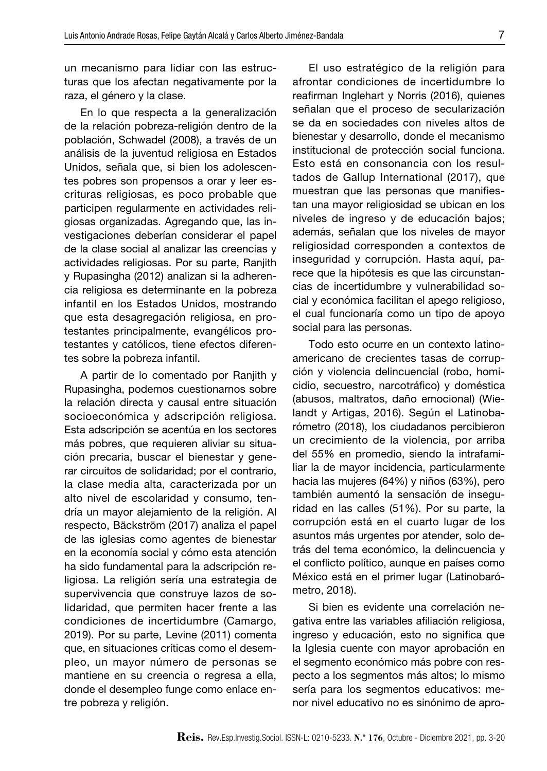un mecanismo para lidiar con las estructuras que los afectan negativamente por la raza, el género y la clase.

En lo que respecta a la generalización de la relación pobreza-religión dentro de la población, Schwadel (2008), a través de un análisis de la juventud religiosa en Estados Unidos, señala que, si bien los adolescentes pobres son propensos a orar y leer escrituras religiosas, es poco probable que participen regularmente en actividades religiosas organizadas. Agregando que, las investigaciones deberían considerar el papel de la clase social al analizar las creencias y actividades religiosas. Por su parte, Ranjith y Rupasingha (2012) analizan si la adherencia religiosa es determinante en la pobreza infantil en los Estados Unidos, mostrando que esta desagregación religiosa, en protestantes principalmente, evangélicos protestantes y católicos, tiene efectos diferentes sobre la pobreza infantil.

A partir de lo comentado por Ranjith y Rupasingha, podemos cuestionarnos sobre la relación directa y causal entre situación socioeconómica y adscripción religiosa. Esta adscripción se acentúa en los sectores más pobres, que requieren aliviar su situación precaria, buscar el bienestar y generar circuitos de solidaridad; por el contrario, la clase media alta, caracterizada por un alto nivel de escolaridad y consumo, tendría un mayor alejamiento de la religión. Al respecto, Bäckström (2017) analiza el papel de las iglesias como agentes de bienestar en la economía social y cómo esta atención ha sido fundamental para la adscripción religiosa. La religión sería una estrategia de supervivencia que construye lazos de solidaridad, que permiten hacer frente a las condiciones de incertidumbre (Camargo, 2019). Por su parte, Levine (2011) comenta que, en situaciones críticas como el desempleo, un mayor número de personas se mantiene en su creencia o regresa a ella, donde el desempleo funge como enlace entre pobreza y religión.

El uso estratégico de la religión para afrontar condiciones de incertidumbre lo reafirman Inglehart y Norris (2016), quienes señalan que el proceso de secularización se da en sociedades con niveles altos de bienestar y desarrollo, donde el mecanismo institucional de protección social funciona. Esto está en consonancia con los resultados de Gallup International (2017), que muestran que las personas que manifiestan una mayor religiosidad se ubican en los niveles de ingreso y de educación bajos; además, señalan que los niveles de mayor religiosidad corresponden a contextos de inseguridad y corrupción. Hasta aquí, parece que la hipótesis es que las circunstancias de incertidumbre y vulnerabilidad social y económica facilitan el apego religioso, el cual funcionaría como un tipo de apoyo social para las personas.

Todo esto ocurre en un contexto latinoamericano de crecientes tasas de corrupción y violencia delincuencial (robo, homicidio, secuestro, narcotráfico) y doméstica (abusos, maltratos, daño emocional) (Wielandt y Artigas, 2016). Según el Latinobarómetro (2018), los ciudadanos percibieron un crecimiento de la violencia, por arriba del 55% en promedio, siendo la intrafamiliar la de mayor incidencia, particularmente hacia las mujeres (64%) y niños (63%), pero también aumentó la sensación de inseguridad en las calles (51%). Por su parte, la corrupción está en el cuarto lugar de los asuntos más urgentes por atender, solo detrás del tema económico, la delincuencia y el conflicto político, aunque en países como México está en el primer lugar (Latinobarómetro, 2018).

Si bien es evidente una correlación negativa entre las variables afiliación religiosa, ingreso y educación, esto no significa que la Iglesia cuente con mayor aprobación en el segmento económico más pobre con respecto a los segmentos más altos; lo mismo sería para los segmentos educativos: menor nivel educativo no es sinónimo de apro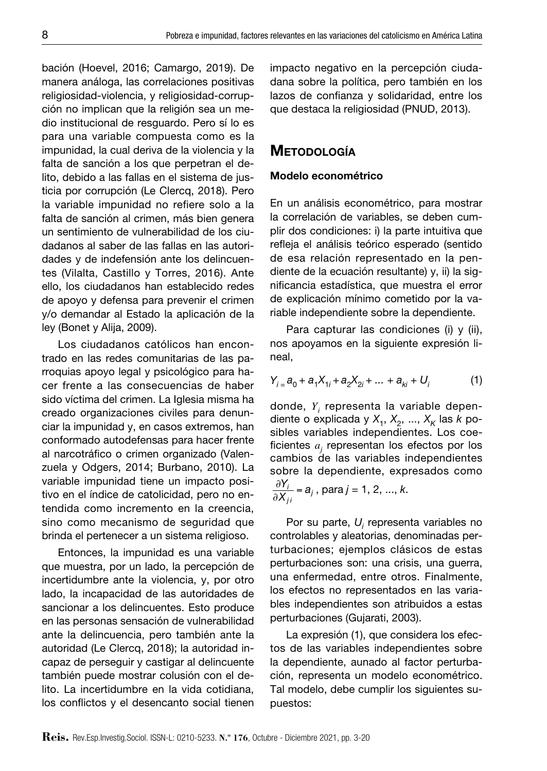bación (Hoevel, 2016; Camargo, 2019). De manera análoga, las correlaciones positivas religiosidad-violencia, y religiosidad-corrupción no implican que la religión sea un medio institucional de resguardo. Pero sí lo es para una variable compuesta como es la impunidad, la cual deriva de la violencia y la falta de sanción a los que perpetran el delito, debido a las fallas en el sistema de justicia por corrupción (Le Clercq, 2018). Pero la variable impunidad no refiere solo a la falta de sanción al crimen, más bien genera un sentimiento de vulnerabilidad de los ciudadanos al saber de las fallas en las autoridades y de indefensión ante los delincuentes (Vilalta, Castillo y Torres, 2016). Ante ello, los ciudadanos han establecido redes de apoyo y defensa para prevenir el crimen y/o demandar al Estado la aplicación de la ley (Bonet y Alija, 2009).

Los ciudadanos católicos han encontrado en las redes comunitarias de las parroquias apoyo legal y psicológico para hacer frente a las consecuencias de haber sido víctima del crimen. La Iglesia misma ha creado organizaciones civiles para denunciar la impunidad y, en casos extremos, han conformado autodefensas para hacer frente al narcotráfico o crimen organizado (Valenzuela y Odgers, 2014; Burbano, 2010). La variable impunidad tiene un impacto positivo en el índice de catolicidad, pero no entendida como incremento en la creencia, sino como mecanismo de seguridad que brinda el pertenecer a un sistema religioso.

Entonces, la impunidad es una variable que muestra, por un lado, la percepción de incertidumbre ante la violencia, y, por otro lado, la incapacidad de las autoridades de sancionar a los delincuentes. Esto produce en las personas sensación de vulnerabilidad ante la delincuencia, pero también ante la autoridad (Le Clercq, 2018); la autoridad incapaz de perseguir y castigar al delincuente también puede mostrar colusión con el delito. La incertidumbre en la vida cotidiana, los conflictos y el desencanto social tienen impacto negativo en la percepción ciudadana sobre la política, pero también en los lazos de confianza y solidaridad, entre los que destaca la religiosidad (PNUD, 2013).

# **METODOLOGÍA**

#### Modelo econométrico

En un análisis econométrico, para mostrar la correlación de variables, se deben cumplir dos condiciones: i) la parte intuitiva que refleja el análisis teórico esperado (sentido de esa relación representado en la pendiente de la ecuación resultante) y, ii) la significancia estadística, que muestra el error de explicación mínimo cometido por la variable independiente sobre la dependiente.

Para capturar las condiciones (i) y (ii), nos apoyamos en la siguiente expresión lineal,

$$
Y_{i} = a_{0} + a_{1}X_{1i} + a_{2}X_{2i} + \dots + a_{ki} + U_{i}
$$
 (1)

donde, *Yi* representa la variable dependiente o explicada y  $X_1$ ,  $X_2$ , ...,  $X_k$  las  $k$  posibles variables independientes. Los coeficientes *aj* representan los efectos por los cambios de las variables independientes sobre la dependiente, expresados como !*Yi*  $\frac{\partial Y_i}{\partial X_{ji}} = a_j$ , para *j* = 1, 2, ..., *k*.

Por su parte,  $U_i$  representa variables no controlables y aleatorias, denominadas perturbaciones; ejemplos clásicos de estas perturbaciones son: una crisis, una guerra, una enfermedad, entre otros. Finalmente, los efectos no representados en las variables independientes son atribuidos a estas perturbaciones (Gujarati, 2003).

La expresión (1), que considera los efectos de las variables independientes sobre la dependiente, aunado al factor perturbación, representa un modelo econométrico. Tal modelo, debe cumplir los siguientes supuestos: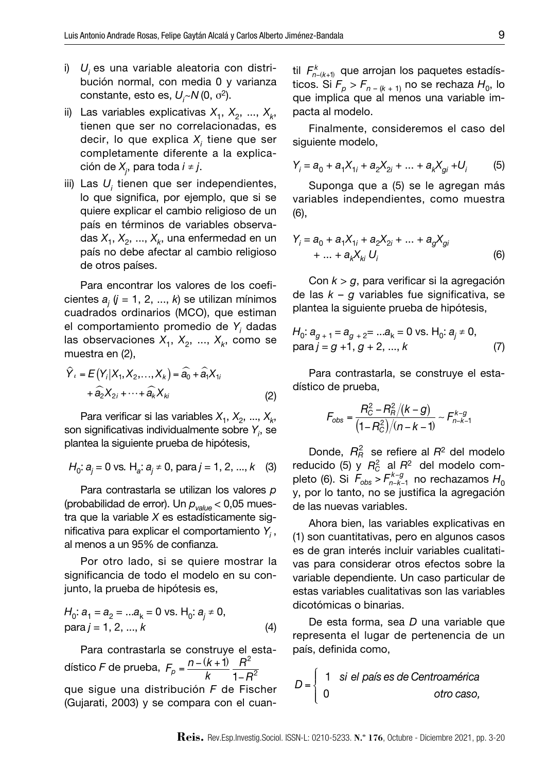- i) *Ui* es una variable aleatoria con distribución normal, con media 0 y varianza constante, esto es, *Ui ~N* (0, σ2).
- ii) Las variables explicativas  $X_1, X_2, ..., X_k$ tienen que ser no correlacionadas, es decir, lo que explica *X<sub>i</sub>* tiene que ser completamente diferente a la explicación de *Xj* , para toda *i* ≠ *j*.
- iii) Las  $U_i$  tienen que ser independientes, lo que significa, por ejemplo, que si se quiere explicar el cambio religioso de un país en términos de variables observadas  $X_1, X_2, ..., X_k$ , una enfermedad en un país no debe afectar al cambio religioso de otros países.

Para encontrar los valores de los coeficientes *aj* (*j* = 1, 2, ..., *k*) se utilizan mínimos cuadrados ordinarios (MCO), que estiman el comportamiento promedio de *Yi* dadas las observaciones  $X_1, X_2, ..., X_k$ , como se muestra en (2),

$$
\hat{Y}_i = E(Y_i|X_1, X_2, \dots, X_k) = \hat{a}_0 + \hat{a}_1 X_{1i}
$$

$$
+ \hat{a}_2 X_{2i} + \dots + \hat{a}_k X_{ki}
$$
(2)

Para verificar si las variables  $X_1, X_2, ..., X_k$ , son significativas individualmente sobre *Yi* , se plantea la siguiente prueba de hipótesis,

$$
H_0: a_j = 0
$$
 vs.  $H_a: a_j \neq 0$ , para  $j = 1, 2, ..., k$  (3)

Para contrastarla se utilizan los valores *p* (probabilidad de error). Un *pvalue* < 0,05 muestra que la variable *X* es estadísticamente significativa para explicar el comportamiento *Yi* , al menos a un 95% de confianza.

Por otro lado, si se quiere mostrar la significancia de todo el modelo en su conjunto, la prueba de hipótesis es,

$$
H_0: a_1 = a_2 = ...a_k = 0 \text{ vs. } H_0: a_j \neq 0,
$$
  
para  $j = 1, 2, ..., k$  (4)

Para contrastarla se construye el estadístico *F* de prueba,  $F_p = \frac{n - (k + 1)}{k}$ *R*2  $1 - R^2$ que sigue una distribución *F* de Fischer (Gujarati, 2003) y se compara con el cuan-

til  $\mathcal{F}^k_{n-(k+1)}$  que arrojan los paquetes estadísticos. Si  $F_p > F_{n-(k+1)}$  no se rechaza  $H_0$ , lo que implica que al menos una variable impacta al modelo.

Finalmente, consideremos el caso del siguiente modelo,

$$
Y_i = a_0 + a_1 X_{1i} + a_2 X_{2i} + \dots + a_k X_{gi} + U_i
$$
 (5)

Suponga que a (5) se le agregan más variables independientes, como muestra (6),

$$
Y_i = a_0 + a_1 X_{1i} + a_2 X_{2i} + \dots + a_g X_{gi}
$$
  
+ ... + a<sub>k</sub>X<sub>ki</sub> U<sub>i</sub> (6)

Con *k* > *g*, para verificar si la agregación de las *k* – *g* variables fue significativa, se plantea la siguiente prueba de hipótesis,

$$
H_0: a_{g+1} = a_{g+2} = ...a_k = 0 \text{ vs. } H_0: a_j \neq 0,
$$
  
para  $j = g + 1, g + 2, ..., k$  (7)

Para contrastarla, se construye el estadístico de prueba,

$$
F_{\rm obs} = \frac{R_{\rm C}^2 - R_{\rm R}^2/(k - g)}{(1 - R_{\rm C}^2)/(n - k - 1)} \sim F_{n - k - 1}^{k - g}
$$

Donde,  $R_R^2$  se refiere al  $R^2$  del modelo reducido (5) y  $R_C^2$  al  $R^2$  del modelo completo (6). Si  $F_{obs}$  >  $F_{n-k-1}^{k-g}$  no rechazamos  $H_0$ y, por lo tanto, no se justifica la agregación de las nuevas variables.

Ahora bien, las variables explicativas en (1) son cuantitativas, pero en algunos casos es de gran interés incluir variables cualitativas para considerar otros efectos sobre la variable dependiente. Un caso particular de estas variables cualitativas son las variables dicotómicas o binarias.

De esta forma, sea *D* una variable que representa el lugar de pertenencia de un país, definida como,

$$
D = \left\{ \begin{array}{ll} 1 & \text{si el país es de Centroamérica} \\ 0 & \text{otro caso,} \end{array} \right.
$$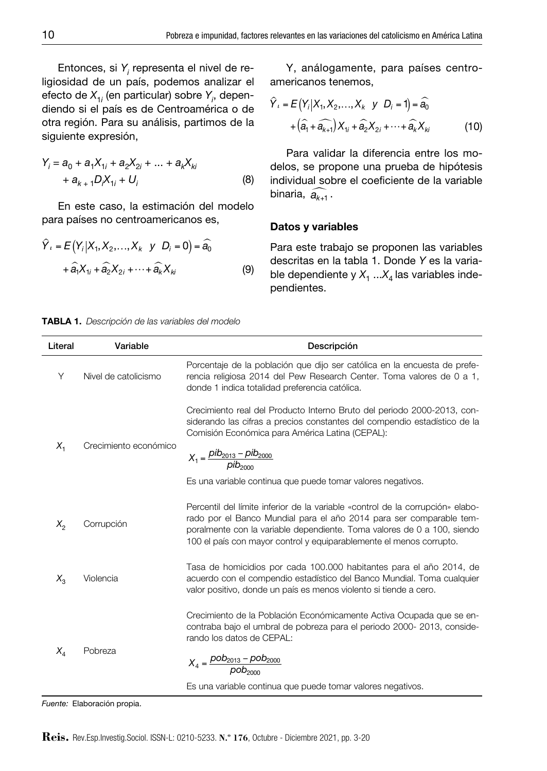Entonces, si Y<sub>í</sub> representa el nivel de religiosidad de un país, podemos analizar el efecto de  $X_{1i}^{\phantom{\dag}}$  (en particular) sobre  $Y_{i\prime}^{\phantom{\dag}},$  dependiendo si el país es de Centroamérica o de otra región. Para su análisis, partimos de la<br>*zimilanta aumencián* siguiente expresión,

$$
Y_i = a_0 + a_1 X_{1i} + a_2 X_{2i} + \dots + a_k X_{ki}
$$
  
+  $a_{k+1} D_i X_{1i} + U_i$  (8)

En este caso, la estimación del modelo para países no centroamericanos es,

$$
\hat{Y}_i = E(Y_i|X_1, X_2, \dots, X_k \quad y \quad D_i = 0) = \hat{a}_0
$$

$$
+ \hat{a}_1 X_{1i} + \hat{a}_2 X_{2i} + \dots + \hat{a}_k X_{ki}
$$
(9)

Y, análogamente, para países centroamericanos tenemos,

$$
\hat{Y}_i = E(Y_i|X_1, X_2, \dots, X_k \quad y \quad D_i = 1) = \hat{a}_0
$$

$$
+ (\hat{a}_1 + \hat{a}_{k+1}) X_{1i} + \hat{a}_2 X_{2i} + \dots + \hat{a}_k X_{ki}
$$
(10)

Para validar la diferencia entre los modelos, se propone una prueba de hipótesis individual sobre el coeficiente de la variable binaria,  $\widehat{a_{k+1}}$ .

#### Datos y variables

Para este trabajo se proponen las variables descritas en la tabla 1. Donde *Y* es la variable dependiente y  $X_1$  ... $X_4$  las variables independientes.

Tabla 1. *Descripción de las variables del modelo*

| Literal | Variable                                                                                                                                                                                                                        | Descripción                                                                                                                                                                                                                                                                                             |
|---------|---------------------------------------------------------------------------------------------------------------------------------------------------------------------------------------------------------------------------------|---------------------------------------------------------------------------------------------------------------------------------------------------------------------------------------------------------------------------------------------------------------------------------------------------------|
| Y       | Nivel de catolicismo                                                                                                                                                                                                            | Porcentaje de la población que dijo ser católica en la encuesta de prefe-<br>rencia religiosa 2014 del Pew Research Center. Toma valores de 0 a 1,<br>donde 1 indica totalidad preferencia católica.                                                                                                    |
| $X_{1}$ | Crecimiento económico                                                                                                                                                                                                           | Crecimiento real del Producto Interno Bruto del periodo 2000-2013, con-<br>siderando las cifras a precios constantes del compendio estadístico de la<br>Comisión Económica para América Latina (CEPAL):                                                                                                 |
|         |                                                                                                                                                                                                                                 | $X_1 = \frac{pib_{2013} - pib_{2000}}{pib_{2000}}$                                                                                                                                                                                                                                                      |
|         |                                                                                                                                                                                                                                 | Es una variable continua que puede tomar valores negativos.                                                                                                                                                                                                                                             |
| $X_{2}$ | Corrupción                                                                                                                                                                                                                      | Percentil del límite inferior de la variable «control de la corrupción» elabo-<br>rado por el Banco Mundial para el año 2014 para ser comparable tem-<br>poralmente con la variable dependiente. Toma valores de 0 a 100, siendo<br>100 el país con mayor control y equiparablemente el menos corrupto. |
| $X_{2}$ | Tasa de homicidios por cada 100.000 habitantes para el año 2014, de<br>acuerdo con el compendio estadístico del Banco Mundial. Toma cualquier<br>Violencia<br>valor positivo, donde un país es menos violento si tiende a cero. |                                                                                                                                                                                                                                                                                                         |
| $X_{A}$ | Pobreza                                                                                                                                                                                                                         | Crecimiento de la Población Económicamente Activa Ocupada que se en-<br>contraba bajo el umbral de pobreza para el periodo 2000-2013, conside-<br>rando los datos de CEPAL:                                                                                                                             |
|         |                                                                                                                                                                                                                                 | $X_4 = \frac{p_{0} - p_{0} - p_{0}}{p_{0} - p_{0}}$                                                                                                                                                                                                                                                     |
|         |                                                                                                                                                                                                                                 | Es una variable continua que puede tomar valores negativos.                                                                                                                                                                                                                                             |

*Fuente:* Elaboración propia.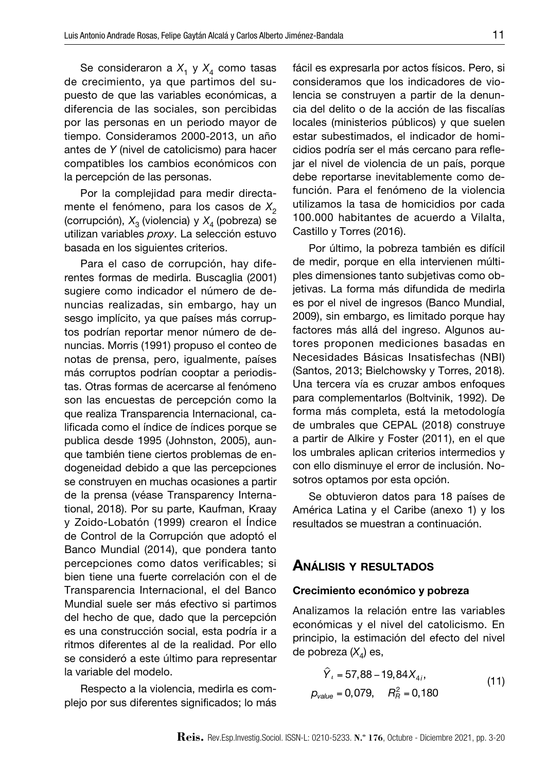Se consideraron a  $X_1$  y  $X_4$  como tasas de crecimiento, ya que partimos del supuesto de que las variables económicas, a diferencia de las sociales, son percibidas por las personas en un periodo mayor de tiempo. Consideramos 2000-2013, un año antes de *Y* (nivel de catolicismo) para hacer compatibles los cambios económicos con la percepción de las personas.

Por la complejidad para medir directamente el fenómeno, para los casos de X<sub>2</sub> (corrupción), *X*3 (violencia) y *X*4 (pobreza) se utilizan variables *proxy*. La selección estuvo basada en los siguientes criterios.

Para el caso de corrupción, hay diferentes formas de medirla. Buscaglia (2001) sugiere como indicador el número de denuncias realizadas, sin embargo, hay un sesgo implícito, ya que países más corruptos podrían reportar menor número de denuncias. Morris (1991) propuso el conteo de notas de prensa, pero, igualmente, países más corruptos podrían cooptar a periodistas. Otras formas de acercarse al fenómeno son las encuestas de percepción como la que realiza Transparencia Internacional, calificada como el índice de índices porque se publica desde 1995 (Johnston, 2005), aunque también tiene ciertos problemas de endogeneidad debido a que las percepciones se construyen en muchas ocasiones a partir de la prensa (véase Transparency International, 2018). Por su parte, Kaufman, Kraay y Zoido-Lobatón (1999) crearon el Índice de Control de la Corrupción que adoptó el Banco Mundial (2014), que pondera tanto percepciones como datos verificables; si bien tiene una fuerte correlación con el de Transparencia Internacional, el del Banco Mundial suele ser más efectivo si partimos del hecho de que, dado que la percepción es una construcción social, esta podría ir a ritmos diferentes al de la realidad. Por ello se consideró a este último para representar la variable del modelo.

Respecto a la violencia, medirla es complejo por sus diferentes significados; lo más fácil es expresarla por actos físicos. Pero, si consideramos que los indicadores de violencia se construyen a partir de la denuncia del delito o de la acción de las fiscalías locales (ministerios públicos) y que suelen estar subestimados, el indicador de homicidios podría ser el más cercano para reflejar el nivel de violencia de un país, porque debe reportarse inevitablemente como defunción. Para el fenómeno de la violencia utilizamos la tasa de homicidios por cada 100.000 habitantes de acuerdo a Vilalta, Castillo y Torres (2016).

Por último, la pobreza también es difícil de medir, porque en ella intervienen múltiples dimensiones tanto subjetivas como objetivas. La forma más difundida de medirla es por el nivel de ingresos (Banco Mundial, 2009), sin embargo, es limitado porque hay factores más allá del ingreso. Algunos autores proponen mediciones basadas en Necesidades Básicas Insatisfechas (NBI) (Santos, 2013; Bielchowsky y Torres, 2018). Una tercera vía es cruzar ambos enfoques para complementarlos (Boltvinik, 1992). De forma más completa, está la metodología de umbrales que CEPAL (2018) construye a partir de Alkire y Foster (2011), en el que los umbrales aplican criterios intermedios y con ello disminuye el error de inclusión. Nosotros optamos por esta opción.

Se obtuvieron datos para 18 países de América Latina y el Caribe (anexo 1) y los resultados se muestran a continuación.

#### Análisis <sup>y</sup> resultados

#### Crecimiento económico y pobreza

Analizamos la relación entre las variables económicas y el nivel del catolicismo. En principio, la estimación del efecto del nivel de pobreza (X<sub>4</sub>) es,

$$
\hat{Y}_i = 57,88 - 19,84X_{4i},
$$
  
\n
$$
p_{value} = 0,079, \quad R_A^2 = 0,180
$$
\n(11)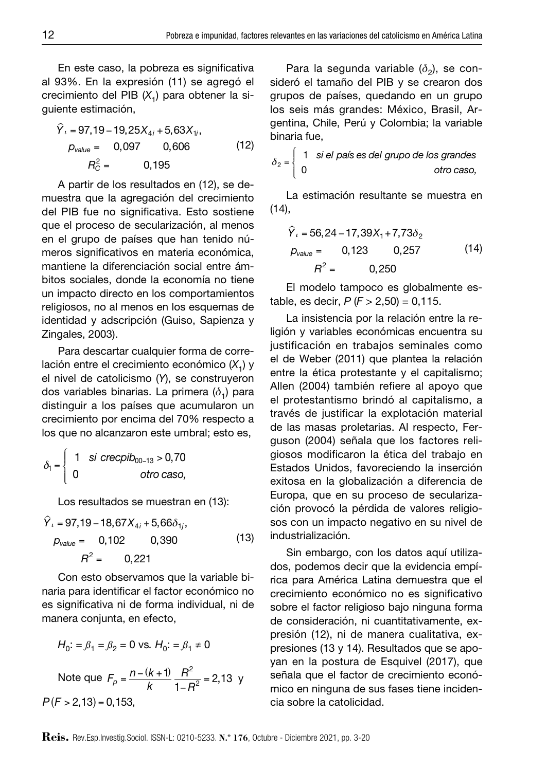En este caso, la pobreza es significativa al 93%. En la expresión (11) se agregó el crecimiento del PIB (X<sub>1</sub>) para obtener la siguiente estimación,

$$
\hat{Y}_t = 97,19 - 19,25X_{4i} + 5,63X_{1i},
$$
  
\n
$$
p_{value} = 0,097 \qquad 0,606 \qquad (12)
$$
  
\n
$$
R_C^2 = 0,195
$$

A partir de los resultados en (12), se demuestra que la agregación del crecimiento del PIB fue no significativa. Esto sostiene que el proceso de secularización, al menos en el grupo de países que han tenido números significativos en materia económica, mantiene la diferenciación social entre ámbitos sociales, donde la economía no tiene un impacto directo en los comportamientos religiosos, no al menos en los esquemas de identidad y adscripción (Guiso, Sapienza y Zingales, 2003).

Para descartar cualquier forma de correlación entre el crecimiento económico (X<sub>1</sub>) y el nivel de catolicismo (*Y*), se construyeron dos variables binarias. La primera ( $\delta$ <sub>1</sub>) para distinguir a los países que acumularon un crecimiento por encima del 70% respecto a los que no alcanzaron este umbral; esto es,

$$
\delta_1 = \left\{ \begin{array}{cc} 1 & \text{si crecpib}_{00-13} > 0,70 \\ 0 & \text{otro caso,} \end{array} \right.
$$

Los resultados se muestran en (13):

$$
\hat{Y}_i = 97,19 - 18,67X_{4i} + 5,66\delta_{1i},
$$
  
\n
$$
p_{value} = 0,102 \qquad 0,390 \qquad (13)
$$
  
\n
$$
R^2 = 0,221
$$

Con esto observamos que la variable binaria para identificar el factor económico no es significativa ni de forma individual, ni de manera conjunta, en efecto,

$$
H_0: = \beta_1 = \beta_2 = 0 \text{ vs. } H_0: = \beta_1 \neq 0
$$
  
Note que  $F_p = \frac{n - (k + 1)}{k} \frac{R^2}{1 - R^2} = 2,13$   
 $P(F > 2, 13) = 0,153,$ 

Para la segunda variable ( $\delta$ <sub>2</sub>), se consideró el tamaño del PIB y se crearon dos grupos de países, quedando en un grupo los seis más grandes: México, Brasil, Argentina, Chile, Perú y Colombia; la variable binaria fue,

$$
\delta_2 = \begin{cases} 1 & \text{si el país es del grupo de los grandes} \\ 0 & \text{otro caso,} \end{cases}
$$

La estimación resultante se muestra en  $(14)$ .

$$
\hat{Y}_i = 56,24 - 17,39X_1 + 7,73\delta_2
$$
  
\n
$$
p_{value} = 0,123 \qquad 0,257 \qquad (14)
$$
  
\n
$$
R^2 = 0,250
$$

El modelo tampoco es globalmente estable, es decir,  $P$  ( $F > 2,50$ ) = 0,115.

La insistencia por la relación entre la religión y variables económicas encuentra su justificación en trabajos seminales como el de Weber (2011) que plantea la relación entre la ética protestante y el capitalismo; Allen (2004) también refiere al apoyo que el protestantismo brindó al capitalismo, a través de justificar la explotación material de las masas proletarias. Al respecto, Ferguson (2004) señala que los factores religiosos modificaron la ética del trabajo en Estados Unidos, favoreciendo la inserción exitosa en la globalización a diferencia de Europa, que en su proceso de secularización provocó la pérdida de valores religiosos con un impacto negativo en su nivel de industrialización.

 $\frac{H}{1-R^2}$  = 2,13 y senala que el factor de crecimiento econo-<br> $\frac{H}{1-R^2}$  = 2,13 mico en ninguna de sus fases tiene inciden-Sin embargo, con los datos aquí utilizados, podemos decir que la evidencia empírica para América Latina demuestra que el crecimiento económico no es significativo sobre el factor religioso bajo ninguna forma de consideración, ni cuantitativamente, expresión (12), ni de manera cualitativa, expresiones (13 y 14). Resultados que se apoyan en la postura de Esquivel (2017), que señala que el factor de crecimiento econócia sobre la catolicidad.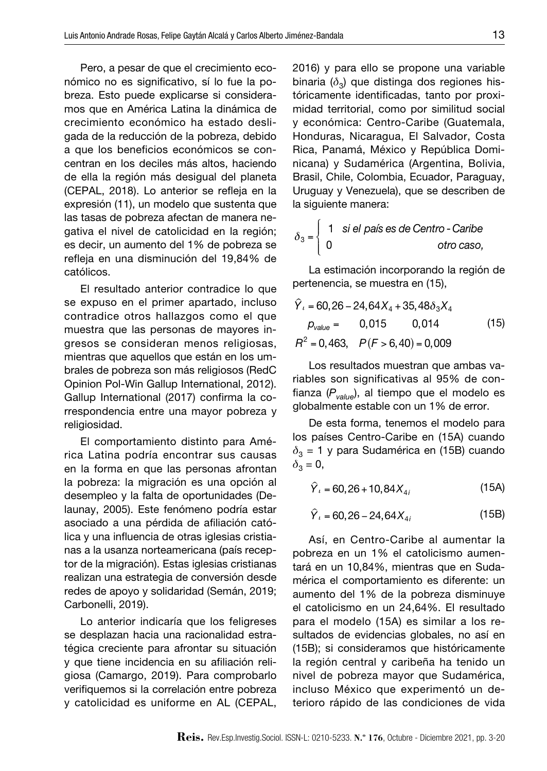Pero, a pesar de que el crecimiento económico no es significativo, sí lo fue la pobreza. Esto puede explicarse si consideramos que en América Latina la dinámica de crecimiento económico ha estado desligada de la reducción de la pobreza, debido a que los beneficios económicos se concentran en los deciles más altos, haciendo de ella la región más desigual del planeta (CEPAL, 2018). Lo anterior se refleja en la expresión (11), un modelo que sustenta que las tasas de pobreza afectan de manera negativa el nivel de catolicidad en la región; es decir, un aumento del 1% de pobreza se refleja en una disminución del 19,84% de católicos.

El resultado anterior contradice lo que se expuso en el primer apartado, incluso contradice otros hallazgos como el que muestra que las personas de mayores ingresos se consideran menos religiosas, mientras que aquellos que están en los umbrales de pobreza son más religiosos (RedC Opinion Pol-Win Gallup International, 2012). Gallup International (2017) confirma la correspondencia entre una mayor pobreza y religiosidad.

El comportamiento distinto para América Latina podría encontrar sus causas en la forma en que las personas afrontan la pobreza: la migración es una opción al desempleo y la falta de oportunidades (Delaunay, 2005). Este fenómeno podría estar asociado a una pérdida de afiliación católica y una influencia de otras iglesias cristianas a la usanza norteamericana (país receptor de la migración). Estas iglesias cristianas realizan una estrategia de conversión desde redes de apoyo y solidaridad (Semán, 2019; Carbonelli, 2019).

Lo anterior indicaría que los feligreses se desplazan hacia una racionalidad estratégica creciente para afrontar su situación y que tiene incidencia en su afiliación religiosa (Camargo, 2019). Para comprobarlo verifiquemos si la correlación entre pobreza y catolicidad es uniforme en AL (CEPAL, 2016) y para ello se propone una variable binaria  $(\delta_2)$  que distinga dos regiones históricamente identificadas, tanto por proximidad territorial, como por similitud social y económica: Centro-Caribe (Guatemala, Honduras, Nicaragua, El Salvador, Costa Rica, Panamá, México y República Dominicana) y Sudamérica (Argentina, Bolivia, Brasil, Chile, Colombia, Ecuador, Paraguay, Uruguay y Venezuela), que se describen de la siguiente manera:

$$
\delta_3 = \begin{cases} 1 & \text{si el país es de Centro - Caribe} \\ 0 & \text{otro caso,} \end{cases}
$$

La estimación incorporando la región de pertenencia, se muestra en (15),

$$
\hat{Y}_t = 60,26 - 24,64X_4 + 35,48\delta_3 X_4
$$
  
\n
$$
p_{value} = 0,015 \qquad 0,014 \qquad (15)
$$
  
\n
$$
R^2 = 0,463, \quad P(F > 6,40) = 0,009
$$

Los resultados muestran que ambas variables son significativas al 95% de confianza (*Pvalue*), al tiempo que el modelo es globalmente estable con un 1% de error.

De esta forma, tenemos el modelo para los países Centro-Caribe en (15A) cuando  $\delta_3$  = 1 y para Sudamérica en (15B) cuando  $\delta_3 = 0$ ,

$$
\hat{Y}_i = 60,26 + 10,84X_{4i} \tag{15A}
$$

$$
\hat{Y}_i = 60, 26 - 24, 64X_{4i} \tag{15B}
$$

Así, en Centro-Caribe al aumentar la pobreza en un 1% el catolicismo aumentará en un 10,84%, mientras que en Sudamérica el comportamiento es diferente: un aumento del 1% de la pobreza disminuye el catolicismo en un 24,64%. El resultado para el modelo (15A) es similar a los resultados de evidencias globales, no así en (15B); si consideramos que históricamente la región central y caribeña ha tenido un nivel de pobreza mayor que Sudamérica, incluso México que experimentó un deterioro rápido de las condiciones de vida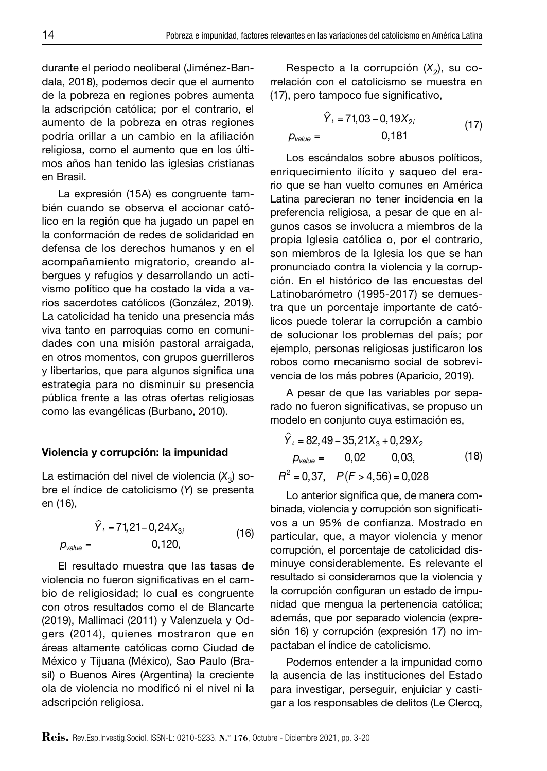durante el periodo neoliberal (Jiménez-Bandala, 2018), podemos decir que el aumento de la pobreza en regiones pobres aumenta la adscripción católica; por el contrario, el aumento de la pobreza en otras regiones podría orillar a un cambio en la afiliación religiosa, como el aumento que en los últimos años han tenido las iglesias cristianas en Brasil.

La expresión (15A) es congruente también cuando se observa el accionar católico en la región que ha jugado un papel en la conformación de redes de solidaridad en defensa de los derechos humanos y en el acompañamiento migratorio, creando albergues y refugios y desarrollando un activismo político que ha costado la vida a varios sacerdotes católicos (González, 2019). La catolicidad ha tenido una presencia más viva tanto en parroquias como en comunidades con una misión pastoral arraigada, en otros momentos, con grupos guerrilleros y libertarios, que para algunos significa una estrategia para no disminuir su presencia pública frente a las otras ofertas religiosas como las evangélicas (Burbano, 2010).

#### Violencia y corrupción: la impunidad

La estimación del nivel de violencia (X<sub>3</sub>) sobre el índice de catolicismo (*Y*) se presenta en (16),

 $\hat{Y}_i$  = 71,21 – 0,24 $X_{3i}$  $p_{value} = 0,120,$ (16)

El resultado muestra que las tasas de violencia no fueron significativas en el cambio de religiosidad; lo cual es congruente con otros resultados como el de Blancarte (2019), Mallimaci (2011) y Valenzuela y Odgers (2014), quienes mostraron que en áreas altamente católicas como Ciudad de México y Tijuana (México), Sao Paulo (Brasil) o Buenos Aires (Argentina) la creciente ola de violencia no modificó ni el nivel ni la adscripción religiosa.

Respecto a la corrupción  $(X_2)$ , su correlación con el catolicismo se muestra en (17), pero tampoco fue significativo,

$$
\hat{Y}_i = 71,03 - 0,19X_{2i}
$$
\n
$$
p_{value} = 0,181
$$
\n(17)

Los escándalos sobre abusos políticos, enriquecimiento ilícito y saqueo del erario que se han vuelto comunes en América Latina parecieran no tener incidencia en la preferencia religiosa, a pesar de que en algunos casos se involucra a miembros de la propia Iglesia católica o, por el contrario, son miembros de la Iglesia los que se han pronunciado contra la violencia y la corrupción. En el histórico de las encuestas del Latinobarómetro (1995-2017) se demuestra que un porcentaje importante de católicos puede tolerar la corrupción a cambio de solucionar los problemas del país; por ejemplo, personas religiosas justificaron los robos como mecanismo social de sobrevivencia de los más pobres (Aparicio, 2019).

A pesar de que las variables por separado no fueron significativas, se propuso un modelo en conjunto cuya estimación es,

$$
\hat{Y}_t = 82,49 - 35,21X_3 + 0,29X_2
$$
  
\n
$$
p_{value} = 0,02 \t 0,03,
$$
 (18)  
\n
$$
R^2 = 0,37, \quad P(F > 4,56) = 0,028
$$

Lo anterior significa que, de manera combinada, violencia y corrupción son significativos a un 95% de confianza. Mostrado en particular, que, a mayor violencia y menor corrupción, el porcentaje de catolicidad disminuye considerablemente. Es relevante el resultado si consideramos que la violencia y la corrupción configuran un estado de impunidad que mengua la pertenencia católica; además, que por separado violencia (expresión 16) y corrupción (expresión 17) no impactaban el índice de catolicismo.

Podemos entender a la impunidad como la ausencia de las instituciones del Estado para investigar, perseguir, enjuiciar y castigar a los responsables de delitos (Le Clercq,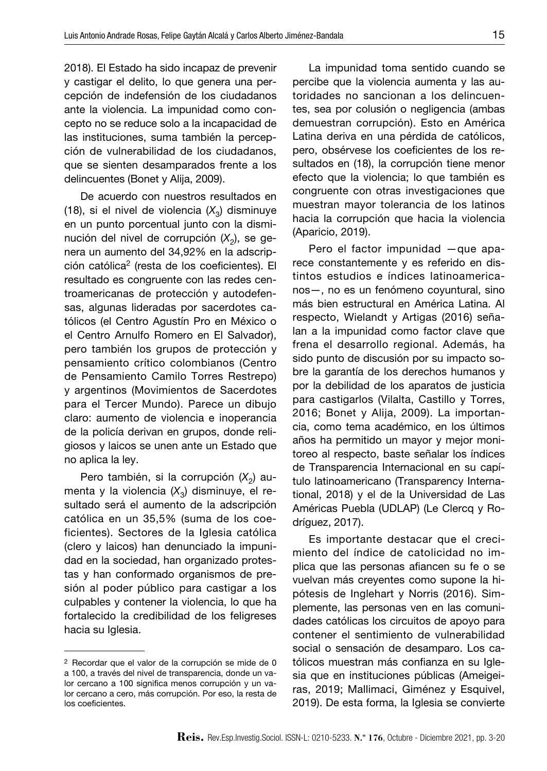2018). El Estado ha sido incapaz de prevenir y castigar el delito, lo que genera una percepción de indefensión de los ciudadanos ante la violencia. La impunidad como concepto no se reduce solo a la incapacidad de las instituciones, suma también la percepción de vulnerabilidad de los ciudadanos, que se sienten desamparados frente a los delincuentes (Bonet y Alija, 2009).

De acuerdo con nuestros resultados en (18), si el nivel de violencia  $(X_3)$  disminuye en un punto porcentual junto con la disminución del nivel de corrupción (X<sub>2</sub>), se genera un aumento del 34,92% en la adscripción católica2 (resta de los coeficientes). El resultado es congruente con las redes centroamericanas de protección y autodefensas, algunas lideradas por sacerdotes católicos (el Centro Agustín Pro en México o el Centro Arnulfo Romero en El Salvador), pero también los grupos de protección y pensamiento crítico colombianos (Centro de Pensamiento Camilo Torres Restrepo) y argentinos (Movimientos de Sacerdotes para el Tercer Mundo). Parece un dibujo claro: aumento de violencia e inoperancia de la policía derivan en grupos, donde religiosos y laicos se unen ante un Estado que no aplica la ley.

Pero también, si la corrupción (X<sub>2</sub>) aumenta y la violencia  $(X_2)$  disminuye, el resultado será el aumento de la adscripción católica en un 35,5% (suma de los coeficientes). Sectores de la Iglesia católica (clero y laicos) han denunciado la impunidad en la sociedad, han organizado protestas y han conformado organismos de presión al poder público para castigar a los culpables y contener la violencia, lo que ha fortalecido la credibilidad de los feligreses hacia su Iglesia.

La impunidad toma sentido cuando se percibe que la violencia aumenta y las autoridades no sancionan a los delincuentes, sea por colusión o negligencia (ambas demuestran corrupción). Esto en América Latina deriva en una pérdida de católicos, pero, obsérvese los coeficientes de los resultados en (18), la corrupción tiene menor efecto que la violencia; lo que también es congruente con otras investigaciones que muestran mayor tolerancia de los latinos hacia la corrupción que hacia la violencia (Aparicio, 2019).

Pero el factor impunidad —que aparece constantemente y es referido en distintos estudios e índices latinoamericanos—, no es un fenómeno coyuntural, sino más bien estructural en América Latina. Al respecto, Wielandt y Artigas (2016) señalan a la impunidad como factor clave que frena el desarrollo regional. Además, ha sido punto de discusión por su impacto sobre la garantía de los derechos humanos y por la debilidad de los aparatos de justicia para castigarlos (Vilalta, Castillo y Torres, 2016; Bonet y Alija, 2009). La importancia, como tema académico, en los últimos años ha permitido un mayor y mejor monitoreo al respecto, baste señalar los índices de Transparencia Internacional en su capítulo latinoamericano (Transparency International, 2018) y el de la Universidad de Las Américas Puebla (UDLAP) (Le Clercq y Rodríguez, 2017).

Es importante destacar que el crecimiento del índice de catolicidad no implica que las personas afiancen su fe o se vuelvan más creyentes como supone la hipótesis de Inglehart y Norris (2016). Simplemente, las personas ven en las comunidades católicas los circuitos de apoyo para contener el sentimiento de vulnerabilidad social o sensación de desamparo. Los católicos muestran más confianza en su Iglesia que en instituciones públicas (Ameigeiras, 2019; Mallimaci, Giménez y Esquivel, 2019). De esta forma, la Iglesia se convierte

<sup>2</sup> Recordar que el valor de la corrupción se mide de 0 a 100, a través del nivel de transparencia, donde un valor cercano a 100 significa menos corrupción y un valor cercano a cero, más corrupción. Por eso, la resta de los coeficientes.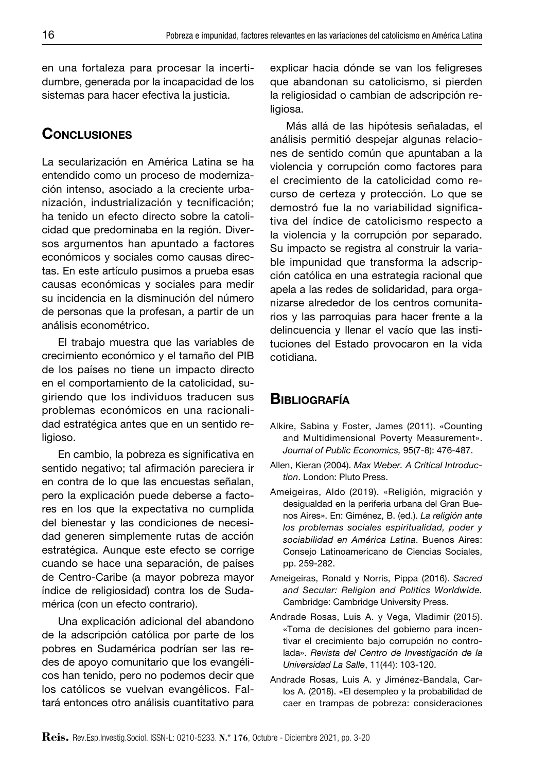en una fortaleza para procesar la incertidumbre, generada por la incapacidad de los sistemas para hacer efectiva la justicia.

# **CONCLUSIONES**

La secularización en América Latina se ha entendido como un proceso de modernización intenso, asociado a la creciente urbanización, industrialización y tecnificación; ha tenido un efecto directo sobre la catolicidad que predominaba en la región. Diversos argumentos han apuntado a factores económicos y sociales como causas directas. En este artículo pusimos a prueba esas causas económicas y sociales para medir su incidencia en la disminución del número de personas que la profesan, a partir de un análisis econométrico.

El trabajo muestra que las variables de crecimiento económico y el tamaño del PIB de los países no tiene un impacto directo en el comportamiento de la catolicidad, sugiriendo que los individuos traducen sus problemas económicos en una racionalidad estratégica antes que en un sentido religioso.

En cambio, la pobreza es significativa en sentido negativo; tal afirmación pareciera ir en contra de lo que las encuestas señalan, pero la explicación puede deberse a factores en los que la expectativa no cumplida del bienestar y las condiciones de necesidad generen simplemente rutas de acción estratégica. Aunque este efecto se corrige cuando se hace una separación, de países de Centro-Caribe (a mayor pobreza mayor índice de religiosidad) contra los de Sudamérica (con un efecto contrario).

Una explicación adicional del abandono de la adscripción católica por parte de los pobres en Sudamérica podrían ser las redes de apoyo comunitario que los evangélicos han tenido, pero no podemos decir que los católicos se vuelvan evangélicos. Faltará entonces otro análisis cuantitativo para explicar hacia dónde se van los feligreses que abandonan su catolicismo, si pierden la religiosidad o cambian de adscripción religiosa.

Más allá de las hipótesis señaladas, el análisis permitió despejar algunas relaciones de sentido común que apuntaban a la violencia y corrupción como factores para el crecimiento de la catolicidad como recurso de certeza y protección. Lo que se demostró fue la no variabilidad significativa del índice de catolicismo respecto a la violencia y la corrupción por separado. Su impacto se registra al construir la variable impunidad que transforma la adscripción católica en una estrategia racional que apela a las redes de solidaridad, para organizarse alrededor de los centros comunitarios y las parroquias para hacer frente a la delincuencia y llenar el vacío que las instituciones del Estado provocaron en la vida cotidiana.

# **BIBLIOGRAFÍA**

- Alkire, Sabina y Foster, James (2011). «Counting and Multidimensional Poverty Measurement». *Journal of Public Economics,* 95(7-8): 476-487.
- Allen, Kieran (2004). *Max Weber. A Critical Introduction*. London: Pluto Press.
- Ameigeiras, Aldo (2019). «Religión, migración y desigualdad en la periferia urbana del Gran Buenos Aires». En: Giménez, B. (ed.). *La religión ante los problemas sociales espiritualidad, poder y sociabilidad en América Latina*. Buenos Aires: Consejo Latinoamericano de Ciencias Sociales, pp. 259-282.
- Ameigeiras, Ronald y Norris, Pippa (2016). *Sacred and Secular: Religion and Politics Worldwide.*  Cambridge: Cambridge University Press.
- Andrade Rosas, Luis A. y Vega, Vladimir (2015). «Toma de decisiones del gobierno para incentivar el crecimiento bajo corrupción no controlada». *Revista del Centro de Investigación de la Universidad La Salle*, 11(44): 103-120.
- Andrade Rosas, Luis A. y Jiménez-Bandala, Carlos A. (2018). «El desempleo y la probabilidad de caer en trampas de pobreza: consideraciones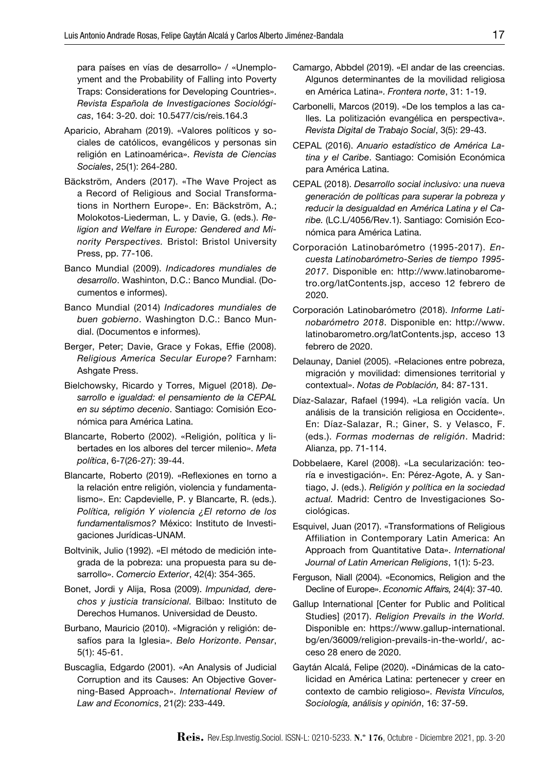para países en vías de desarrollo» / «Unemployment and the Probability of Falling into Poverty Traps: Considerations for Developing Countries». *Revista Española de Investigaciones Sociológicas*, 164: 3-20. doi: 10.5477/cis/reis.164.3

- Aparicio, Abraham (2019). «Valores políticos y sociales de católicos, evangélicos y personas sin religión en Latinoamérica». *Revista de Ciencias Sociales*, 25(1): 264-280.
- Bäckström, Anders (2017). «The Wave Project as a Record of Religious and Social Transformations in Northern Europe». En: Bäckström, A.; Molokotos-Liederman, L. y Davie, G. (eds.). *Religion and Welfare in Europe: Gendered and Minority Perspectives.* Bristol: Bristol University Press, pp. 77-106.
- Banco Mundial (2009). *Indicadores mundiales de desarrollo*. Washinton, D.C.: Banco Mundial. (Documentos e informes).
- Banco Mundial (2014) *Indicadores mundiales de buen gobierno*. Washington D.C.: Banco Mundial. (Documentos e informes).
- Berger, Peter; Davie, Grace y Fokas, Effie (2008). *Religious America Secular Europe?* Farnham: Ashgate Press.
- Bielchowsky, Ricardo y Torres, Miguel (2018). *Desarrollo e igualdad: el pensamiento de la CEPAL en su séptimo decenio*. Santiago: Comisión Económica para América Latina.
- Blancarte, Roberto (2002). «Religión, política y libertades en los albores del tercer milenio». *Meta política*, 6-7(26-27): 39-44.
- Blancarte, Roberto (2019). «Reflexiones en torno a la relación entre religión, violencia y fundamentalismo». En: Capdevielle, P. y Blancarte, R. (eds.). *Política, religión Y violencia ¿El retorno de los fundamentalismos?* México: Instituto de Investigaciones Jurídicas-UNAM.
- Boltvinik, Julio (1992). «El método de medición integrada de la pobreza: una propuesta para su desarrollo». *Comercio Exterior*, 42(4): 354-365.
- Bonet, Jordi y Alija, Rosa (2009). *Impunidad, derechos y justicia transicional.* Bilbao: Instituto de Derechos Humanos. Universidad de Deusto.
- Burbano, Mauricio (2010). «Migración y religión: desafíos para la Iglesia». *Belo Horizonte*. *Pensar*, 5(1): 45-61.
- Buscaglia, Edgardo (2001). «An Analysis of Judicial Corruption and its Causes: An Objective Governing-Based Approach». *International Review of Law and Economics*, 21(2): 233-449.
- Camargo, Abbdel (2019). «El andar de las creencias. Algunos determinantes de la movilidad religiosa en América Latina». *Frontera norte*, 31: 1-19.
- Carbonelli, Marcos (2019). «De los templos a las calles. La politización evangélica en perspectiva». *Revista Digital de Trabajo Social*, 3(5): 29-43.
- CEPAL (2016). *Anuario estadístico de América Latina y el Caribe*. Santiago: Comisión Económica para América Latina.
- CEPAL (2018). *Desarrollo social inclusivo: una nueva generación de políticas para superar la pobreza y reducir la desigualdad en América Latina y el Caribe.* (LC.L/4056/Rev.1). Santiago: Comisión Económica para América Latina.
- Corporación Latinobarómetro (1995-2017). *Encuesta Latinobarómetro-Series de tiempo 1995- 2017*. Disponible en: [http://www.latinobarome](http://www.latinobarometro.org/latContents.jsp)[tro.org/latContents.jsp](http://www.latinobarometro.org/latContents.jsp), acceso 12 febrero de 2020.
- Corporación Latinobarómetro (2018). *Informe Latinobarómetro 2018*. Disponible en: [http://www.](http://www.latinobarometro.org/latContents.jsp) [latinobarometro.org/latContents.jsp](http://www.latinobarometro.org/latContents.jsp), acceso 13 febrero de 2020.
- Delaunay, Daniel (2005). «Relaciones entre pobreza, migración y movilidad: dimensiones territorial y contextual». *Notas de Población,* 84: 87-131.
- Díaz-Salazar, Rafael (1994). «La religión vacía. Un análisis de la transición religiosa en Occidente». En: Díaz-Salazar, R.; Giner, S. y Velasco, F. (eds.). *Formas modernas de religión*. Madrid: Alianza, pp. 71-114.
- Dobbelaere, Karel (2008). «La secularización: teoría e investigación». En: Pérez-Agote, A. y Santiago, J. (eds.). *Religión y política en la sociedad actual.* Madrid: Centro de Investigaciones Sociológicas.
- Esquivel, Juan (2017). «Transformations of Religious Affiliation in Contemporary Latin America: An Approach from Quantitative Data». *International Journal of Latin American Religions*, 1(1): 5-23.
- Ferguson, Niall (2004). «Economics, Religion and the Decline of Europe». *Economic Affairs,* 24(4): 37-40.
- Gallup International [Center for Public and Political Studies] (2017). *Religion Prevails in the World.*  Disponible en: [https://www.gallup-international.](https://www.gallup-international.bg/en/36009/religion-prevails-in-the-world/) [bg/en/36009/religion-prevails-in-the-world/](https://www.gallup-international.bg/en/36009/religion-prevails-in-the-world/), acceso 28 enero de 2020.
- Gaytán Alcalá, Felipe (2020). «Dinámicas de la catolicidad en América Latina: pertenecer y creer en contexto de cambio religioso». *Revista Vínculos, Sociología, análisis y opinión*, 16: 37-59.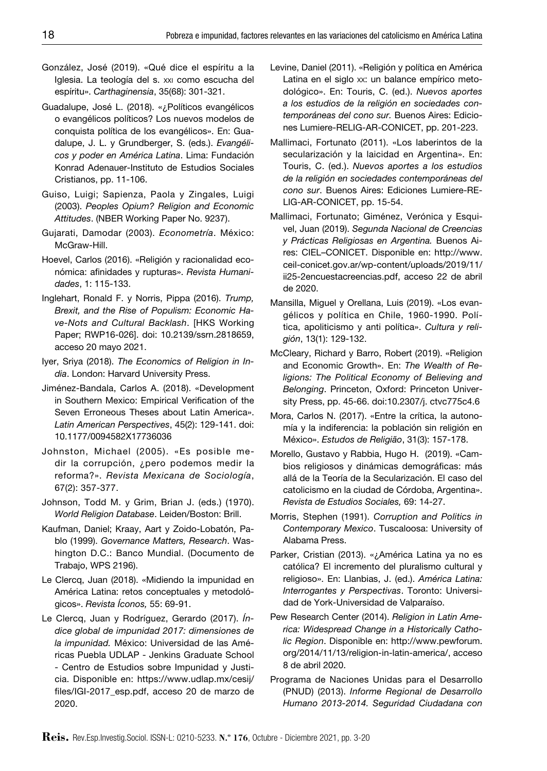- González, José (2019). «Qué dice el espíritu a la Iglesia. La teología del s. xxi como escucha del espíritu». *Carthaginensia*, 35(68): 301-321.
- Guadalupe, José L. (2018). «¿Políticos evangélicos o evangélicos políticos? Los nuevos modelos de conquista política de los evangélicos». En: Guadalupe, J. L. y Grundberger, S. (eds.). *Evangélicos y poder en América Latina*. Lima: Fundación Konrad Adenauer-Instituto de Estudios Sociales Cristianos, pp. 11-106.
- Guiso, Luigi; Sapienza, Paola y Zingales, Luigi (2003). *Peoples Opium? Religion and Economic Attitudes*. (NBER Working Paper No. 9237).
- Gujarati, Damodar (2003). *Econometría*. México: McGraw-Hill.
- Hoevel, Carlos (2016). «Religión y racionalidad económica: afinidades y rupturas». *Revista Humanidades*, 1: 115-133.
- Inglehart, Ronald F. y Norris, Pippa (2016). *Trump, Brexit, and the Rise of Populism: Economic Have-Nots and Cultural Backlash*. [HKS Working Paper; RWP16-026]. doi: 10.2139/ssrn.2818659, acceso 20 mayo 2021.
- Iyer, Sriya (2018). *The Economics of Religion in India*. London: Harvard University Press.
- Jiménez-Bandala, Carlos A. (2018). «Development in Southern Mexico: Empirical Verification of the Seven Erroneous Theses about Latin America». *Latin American Perspectives*, 45(2): 129-141. doi: 10.1177/0094582X17736036
- Johnston, Michael (2005). «Es posible medir la corrupción, ¿pero podemos medir la reforma?». *Revista Mexicana de Sociología*, 67(2): 357-377.
- Johnson, Todd M. y Grim, Brian J. (eds.) (1970). *World Religion Database*. Leiden/Boston: Brill.
- Kaufman, Daniel; Kraay, Aart y Zoido-Lobatón, Pablo (1999). *Governance Matters, Research*. Washington D.C.: Banco Mundial. (Documento de Trabajo, WPS 2196).
- Le Clercq, Juan (2018). «Midiendo la impunidad en América Latina: retos conceptuales y metodológicos». *Revista Íconos,* 55: 69-91.
- Le Clercq, Juan y Rodríguez, Gerardo (2017). *Índice global de impunidad 2017: dimensiones de la impunidad.* México: Universidad de las Américas Puebla UDLAP - Jenkins Graduate School - Centro de Estudios sobre Impunidad y Justicia. Disponible en: [https://www.udlap.mx/cesij/](https://www.udlap.mx/cesij/files/IGI-2017_esp.pdf) [files/IGI-2017\\_esp.pdf](https://www.udlap.mx/cesij/files/IGI-2017_esp.pdf), acceso 20 de marzo de 2020.
- Levine, Daniel (2011). «Religión y política en América Latina en el siglo xx: un balance empírico metodológico». En: Touris, C. (ed.). *Nuevos aportes a los estudios de la religión en sociedades contemporáneas del cono sur.* Buenos Aires: Ediciones Lumiere-RELIG-AR-CONICET, pp. 201-223.
- Mallimaci, Fortunato (2011). «Los laberintos de la secularización y la laicidad en Argentina». En: Touris, C. (ed.). *Nuevos aportes a los estudios de la religión en sociedades contemporáneas del cono sur*. Buenos Aires: Ediciones Lumiere-RE-LIG-AR-CONICET, pp. 15-54.
- Mallimaci, Fortunato; Giménez, Verónica y Esquivel, Juan (2019). *Segunda Nacional de Creencias y Prácticas Religiosas en Argentina.* Buenos Aires: CIEL–CONICET. Disponible en: [http://www.](http://www.ceil-conicet.gov.ar/wp-content/uploads/2019/11/ii25-2encuestacreencias.pdf) [ceil-conicet.gov.ar/wp-content/uploads/2019/11/](http://www.ceil-conicet.gov.ar/wp-content/uploads/2019/11/ii25-2encuestacreencias.pdf) [ii25-2encuestacreencias.pdf,](http://www.ceil-conicet.gov.ar/wp-content/uploads/2019/11/ii25-2encuestacreencias.pdf) acceso 22 de abril de 2020.
- Mansilla, Miguel y Orellana, Luis (2019). «Los evangélicos y política en Chile, 1960-1990. Política, apoliticismo y anti política». *Cultura y religión*, 13(1): 129-132.
- McCleary, Richard y Barro, Robert (2019). «Religion and Economic Growth». En: *The Wealth of Religions: The Political Economy of Believing and Belonging*. Princeton, Oxford: Princeton University Press, pp. 45-66. doi:10.2307/j. ctvc775c4.6
- Mora, Carlos N. (2017). «Entre la crítica, la autonomía y la indiferencia: la población sin religión en México». *Estudos de Religião*, 31(3): 157-178.
- Morello, Gustavo y Rabbia, Hugo H. (2019). «Cambios religiosos y dinámicas demográficas: más allá de la Teoría de la Secularización. El caso del catolicismo en la ciudad de Córdoba, Argentina». *Revista de Estudios Sociales,* 69: 14-27.
- Morris, Stephen (1991). *Corruption and Politics in Contemporary Mexico*. Tuscaloosa: University of Alabama Press.
- Parker, Cristian (2013). «¿América Latina ya no es católica? El incremento del pluralismo cultural y religioso». En: Llanbias, J. (ed.). *América Latina: Interrogantes y Perspectivas*. Toronto: Universidad de York-Universidad de Valparaíso.
- Pew Research Center (2014). *Religion in Latin America: Widespread Change in a Historically Catholic Region*. Disponible en: [http://www.pewforum.](http://www.pewforum.org/2014/11/13/religion-in-latin-america/) [org/2014/11/13/religion-in-latin-america/,](http://www.pewforum.org/2014/11/13/religion-in-latin-america/) acceso 8 de abril 2020.
- Programa de Naciones Unidas para el Desarrollo (PNUD) (2013). *Informe Regional de Desarrollo Humano 2013-2014. Seguridad Ciudadana con*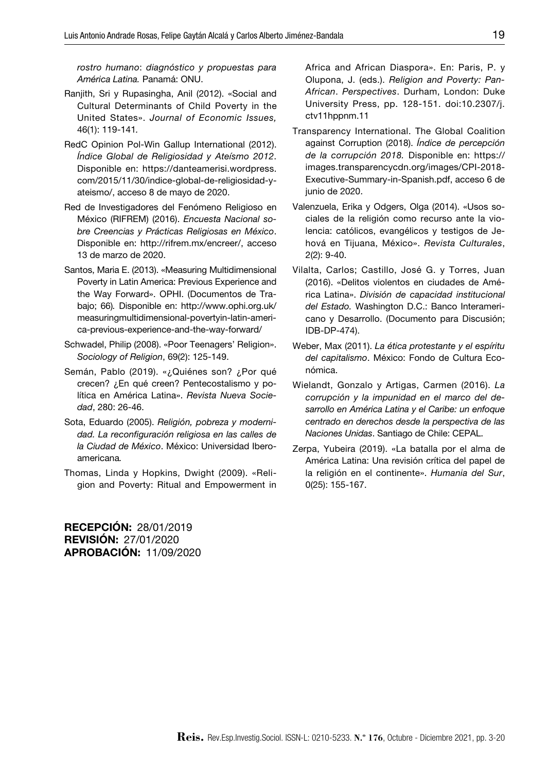*rostro humano*: *diagnóstico y propuestas para América Latina.* Panamá: ONU.

- Ranjith, Sri y Rupasingha, Anil (2012). «Social and Cultural Determinants of Child Poverty in the United States». *Journal of Economic Issues,*  46(1): 119-141*.*
- RedC Opinion Pol-Win Gallup International (2012). *Índice Global de Religiosidad y Ateísmo 2012*. Disponible en: [https://danteamerisi.wordpress.](https://danteamerisi.wordpress.com/2015/11/30/indice-global-de-religiosidad-y-ateismo/) [com/2015/11/30/indice-global-de-religiosidad-y](https://danteamerisi.wordpress.com/2015/11/30/indice-global-de-religiosidad-y-ateismo/)[ateismo/,](https://danteamerisi.wordpress.com/2015/11/30/indice-global-de-religiosidad-y-ateismo/) acceso 8 de mayo de 2020.
- Red de Investigadores del Fenómeno Religioso en México (RIFREM) (2016). *Encuesta Nacional sobre Creencias y Prácticas Religiosas en México*. Disponible en: <http://rifrem.mx/encreer/>, acceso 13 de marzo de 2020.
- Santos, Maria E. (2013). «Measuring Multidimensional Poverty in Latin America: Previous Experience and the Way Forward». OPHI. (Documentos de Trabajo; 66)*.* Disponible en: http://www.ophi.org.uk/ measuringmultidimensional-povertyin-latin-america-previous-experience-and-the-way-forward/
- Schwadel, Philip (2008). «Poor Teenagers' Religion». *Sociology of Religion*, 69(2): 125-149.
- Semán, Pablo (2019). «¿Quiénes son? ¿Por qué crecen? ¿En qué creen? Pentecostalismo y política en América Latina». *Revista Nueva Sociedad*, 280: 26-46.
- Sota, Eduardo (2005). *Religión, pobreza y modernidad. La reconfiguración religiosa en las calles de la Ciudad de México*. México: Universidad Iberoamericana*.*
- Thomas, Linda y Hopkins, Dwight (2009). «Religion and Poverty: Ritual and Empowerment in

Recepción: 28/01/2019 Revisión: 27/01/2020 Aprobación: 11/09/2020 Africa and African Diaspora». En: Paris, P. y Olupona, J. (eds.). *Religion and Poverty: Pan-African*. *Perspectives*. Durham, London: Duke University Press, pp. 128-151. doi:10.2307/j. ctv11hppnm.11

- Transparency International. The Global Coalition against Corruption (2018). *Índice de percepción de la corrupción 2018.* Disponible en: [https://](https://images.transparencycdn.org/images/CPI-2018-Executive-Summary-in-Spanish.pdf) [images.transparencycdn.org/images/CPI-2018-](https://images.transparencycdn.org/images/CPI-2018-Executive-Summary-in-Spanish.pdf) [Executive-Summary-in-Spanish.pdf,](https://images.transparencycdn.org/images/CPI-2018-Executive-Summary-in-Spanish.pdf) acceso 6 de junio de 2020.
- Valenzuela, Erika y Odgers, Olga (2014). «Usos sociales de la religión como recurso ante la violencia: católicos, evangélicos y testigos de Jehová en Tijuana, México». *Revista Culturales*, 2(2): 9-40.
- Vilalta, Carlos; Castillo, José G. y Torres, Juan (2016). «Delitos violentos en ciudades de América Latina». *División de capacidad institucional del Estado.* Washington D.C.: Banco Interamericano y Desarrollo. (Documento para Discusión; IDB-DP-474).
- Weber, Max (2011). *La ética protestante y el espíritu del capitalismo*. México: Fondo de Cultura Económica.
- Wielandt, Gonzalo y Artigas, Carmen (2016). *La corrupción y la impunidad en el marco del desarrollo en América Latina y el Caribe: un enfoque centrado en derechos desde la perspectiva de las Naciones Unidas*. Santiago de Chile: CEPAL.
- Zerpa, Yubeira (2019). «La batalla por el alma de América Latina: Una revisión crítica del papel de la religión en el continente». *Humania del Sur*, 0(25): 155-167.